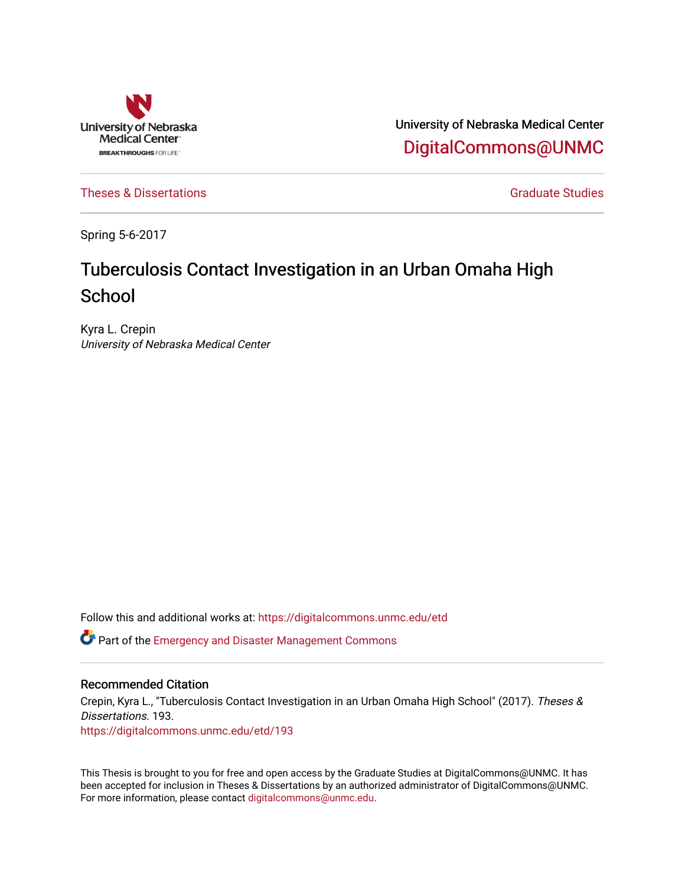

University of Nebraska Medical Center [DigitalCommons@UNMC](https://digitalcommons.unmc.edu/) 

[Theses & Dissertations](https://digitalcommons.unmc.edu/etd) [Graduate Studies](https://digitalcommons.unmc.edu/grad_studies) and Graduate Studies Creations Graduate Studies

Spring 5-6-2017

# Tuberculosis Contact Investigation in an Urban Omaha High **School**

Kyra L. Crepin University of Nebraska Medical Center

Follow this and additional works at: [https://digitalcommons.unmc.edu/etd](https://digitalcommons.unmc.edu/etd?utm_source=digitalcommons.unmc.edu%2Fetd%2F193&utm_medium=PDF&utm_campaign=PDFCoverPages)

**C** Part of the Emergency and Disaster Management Commons

## Recommended Citation

Crepin, Kyra L., "Tuberculosis Contact Investigation in an Urban Omaha High School" (2017). Theses & Dissertations. 193. [https://digitalcommons.unmc.edu/etd/193](https://digitalcommons.unmc.edu/etd/193?utm_source=digitalcommons.unmc.edu%2Fetd%2F193&utm_medium=PDF&utm_campaign=PDFCoverPages)

This Thesis is brought to you for free and open access by the Graduate Studies at DigitalCommons@UNMC. It has been accepted for inclusion in Theses & Dissertations by an authorized administrator of DigitalCommons@UNMC. For more information, please contact [digitalcommons@unmc.edu](mailto:digitalcommons@unmc.edu).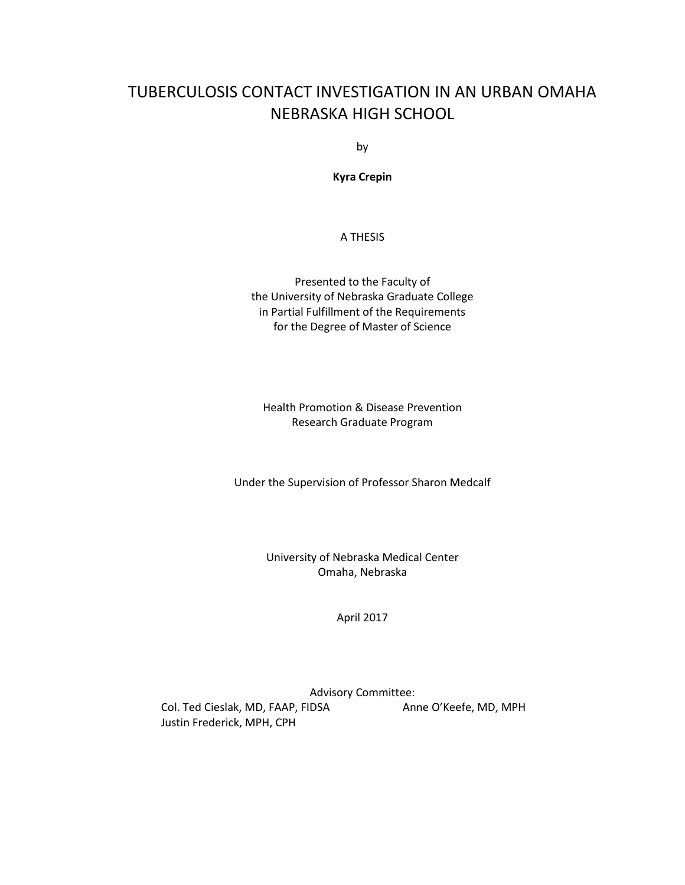## TUBERCULOSIS CONTACT INVESTIGATION IN AN URBAN OMAHA NEBRASKA HIGH SCHOOL

by

**Kyra Crepin**

A THESIS

Presented to the Faculty of the University of Nebraska Graduate College in Partial Fulfillment of the Requirements for the Degree of Master of Science

Health Promotion & Disease Prevention Research Graduate Program

Under the Supervision of Professor Sharon Medcalf

University of Nebraska Medical Center Omaha, Nebraska

April 2017

Advisory Committee: Col. Ted Cieslak, MD, FAAP, FIDSA Anne O'Keefe, MD, MPH Justin Frederick, MPH, CPH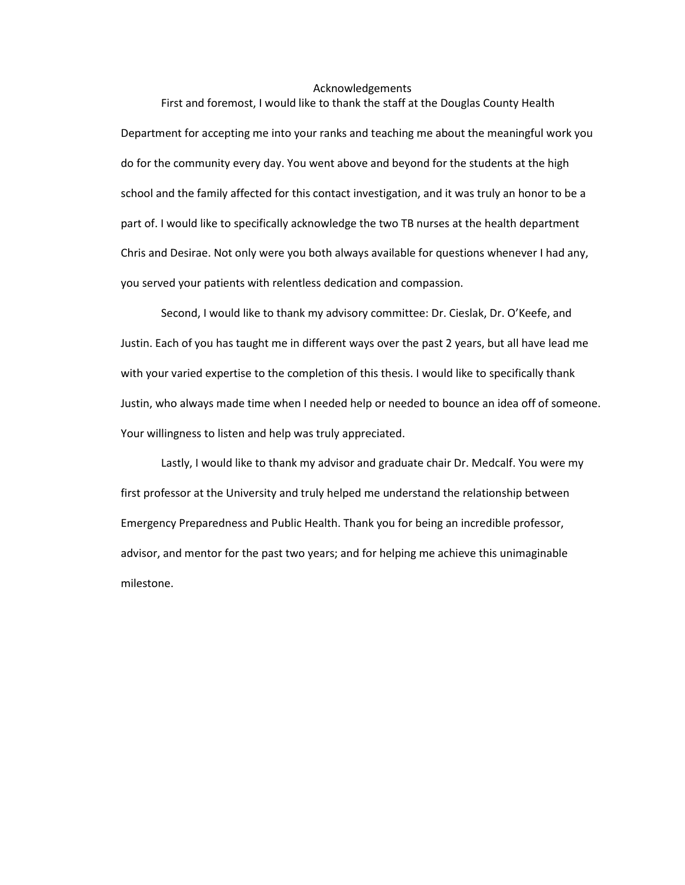## Acknowledgements First and foremost, I would like to thank the staff at the Douglas County Health

Department for accepting me into your ranks and teaching me about the meaningful work you do for the community every day. You went above and beyond for the students at the high school and the family affected for this contact investigation, and it was truly an honor to be a part of. I would like to specifically acknowledge the two TB nurses at the health department Chris and Desirae. Not only were you both always available for questions whenever I had any, you served your patients with relentless dedication and compassion.

Second, I would like to thank my advisory committee: Dr. Cieslak, Dr. O'Keefe, and Justin. Each of you has taught me in different ways over the past 2 years, but all have lead me with your varied expertise to the completion of this thesis. I would like to specifically thank Justin, who always made time when I needed help or needed to bounce an idea off of someone. Your willingness to listen and help was truly appreciated.

Lastly, I would like to thank my advisor and graduate chair Dr. Medcalf. You were my first professor at the University and truly helped me understand the relationship between Emergency Preparedness and Public Health. Thank you for being an incredible professor, advisor, and mentor for the past two years; and for helping me achieve this unimaginable milestone.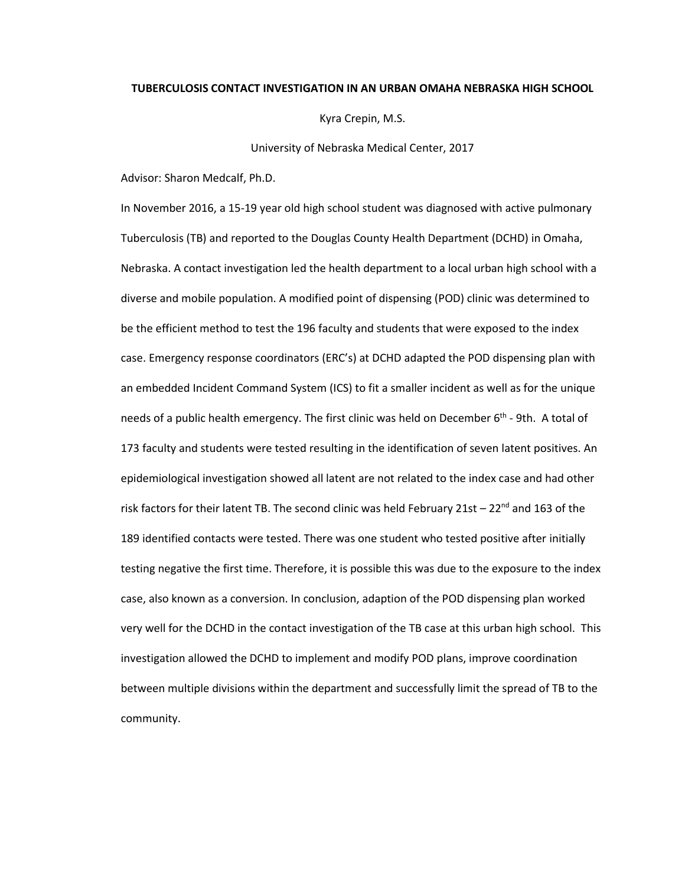#### **TUBERCULOSIS CONTACT INVESTIGATION IN AN URBAN OMAHA NEBRASKA HIGH SCHOOL**

Kyra Crepin, M.S.

University of Nebraska Medical Center, 2017

Advisor: Sharon Medcalf, Ph.D.

In November 2016, a 15-19 year old high school student was diagnosed with active pulmonary Tuberculosis (TB) and reported to the Douglas County Health Department (DCHD) in Omaha, Nebraska. A contact investigation led the health department to a local urban high school with a diverse and mobile population. A modified point of dispensing (POD) clinic was determined to be the efficient method to test the 196 faculty and students that were exposed to the index case. Emergency response coordinators (ERC's) at DCHD adapted the POD dispensing plan with an embedded Incident Command System (ICS) to fit a smaller incident as well as for the unique needs of a public health emergency. The first clinic was held on December 6<sup>th</sup> - 9th. A total of 173 faculty and students were tested resulting in the identification of seven latent positives. An epidemiological investigation showed all latent are not related to the index case and had other risk factors for their latent TB. The second clinic was held February 21st  $-22<sup>nd</sup>$  and 163 of the 189 identified contacts were tested. There was one student who tested positive after initially testing negative the first time. Therefore, it is possible this was due to the exposure to the index case, also known as a conversion. In conclusion, adaption of the POD dispensing plan worked very well for the DCHD in the contact investigation of the TB case at this urban high school. This investigation allowed the DCHD to implement and modify POD plans, improve coordination between multiple divisions within the department and successfully limit the spread of TB to the community.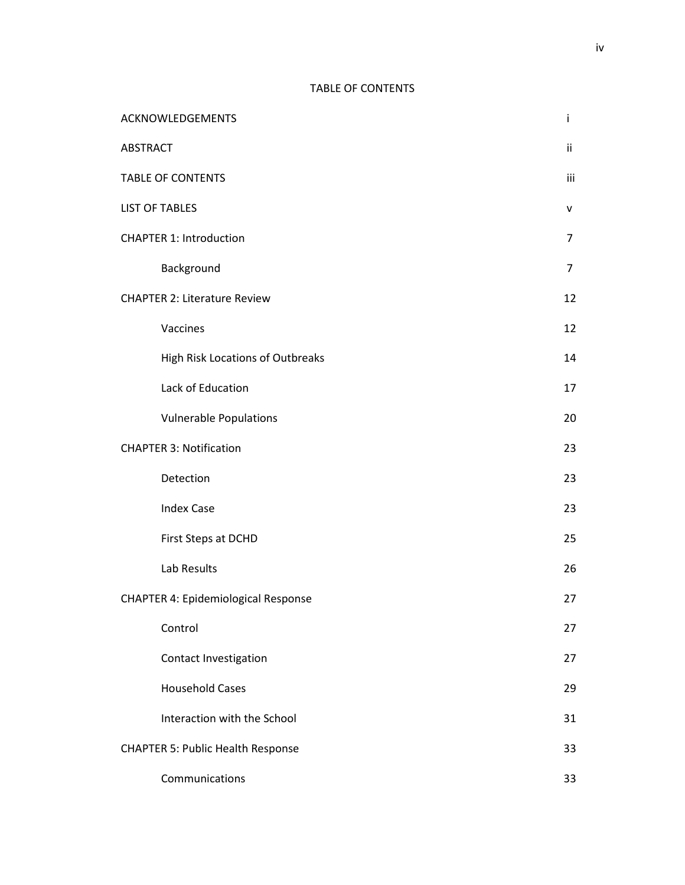## TABLE OF CONTENTS

|                 | ACKNOWLEDGEMENTS                           | i   |
|-----------------|--------------------------------------------|-----|
| <b>ABSTRACT</b> |                                            | ij. |
|                 | <b>TABLE OF CONTENTS</b>                   | iii |
|                 | <b>LIST OF TABLES</b>                      |     |
|                 | <b>CHAPTER 1: Introduction</b>             | 7   |
|                 | Background                                 | 7   |
|                 | <b>CHAPTER 2: Literature Review</b>        | 12  |
|                 | Vaccines                                   | 12  |
|                 | High Risk Locations of Outbreaks           | 14  |
|                 | Lack of Education                          | 17  |
|                 | <b>Vulnerable Populations</b>              | 20  |
|                 | <b>CHAPTER 3: Notification</b>             | 23  |
|                 | Detection                                  | 23  |
|                 | <b>Index Case</b>                          | 23  |
|                 | First Steps at DCHD                        | 25  |
|                 | Lab Results                                | 26  |
|                 | <b>CHAPTER 4: Epidemiological Response</b> | 27  |
|                 | Control                                    | 27  |
|                 | Contact Investigation                      | 27  |
|                 | <b>Household Cases</b>                     | 29  |
|                 | Interaction with the School                | 31  |
|                 | <b>CHAPTER 5: Public Health Response</b>   |     |
|                 | Communications                             | 33  |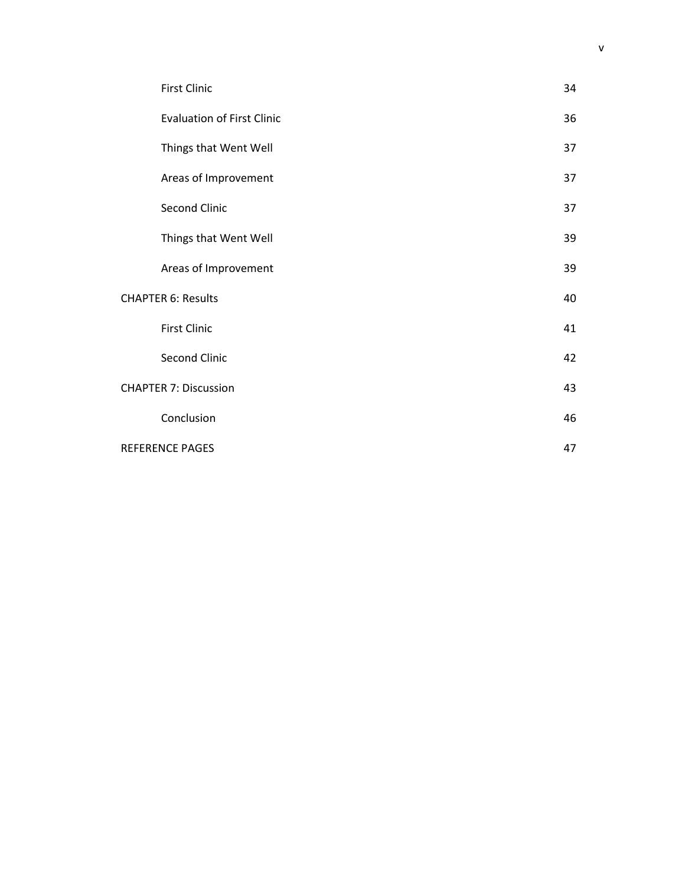|                        | <b>First Clinic</b>               | 34 |
|------------------------|-----------------------------------|----|
|                        | <b>Evaluation of First Clinic</b> | 36 |
|                        | Things that Went Well             | 37 |
|                        | Areas of Improvement              | 37 |
|                        | Second Clinic                     | 37 |
|                        | Things that Went Well             | 39 |
|                        | Areas of Improvement              | 39 |
|                        | <b>CHAPTER 6: Results</b>         | 40 |
|                        | <b>First Clinic</b>               | 41 |
|                        | Second Clinic                     | 42 |
|                        | <b>CHAPTER 7: Discussion</b>      | 43 |
|                        | Conclusion                        | 46 |
| <b>REFERENCE PAGES</b> |                                   | 47 |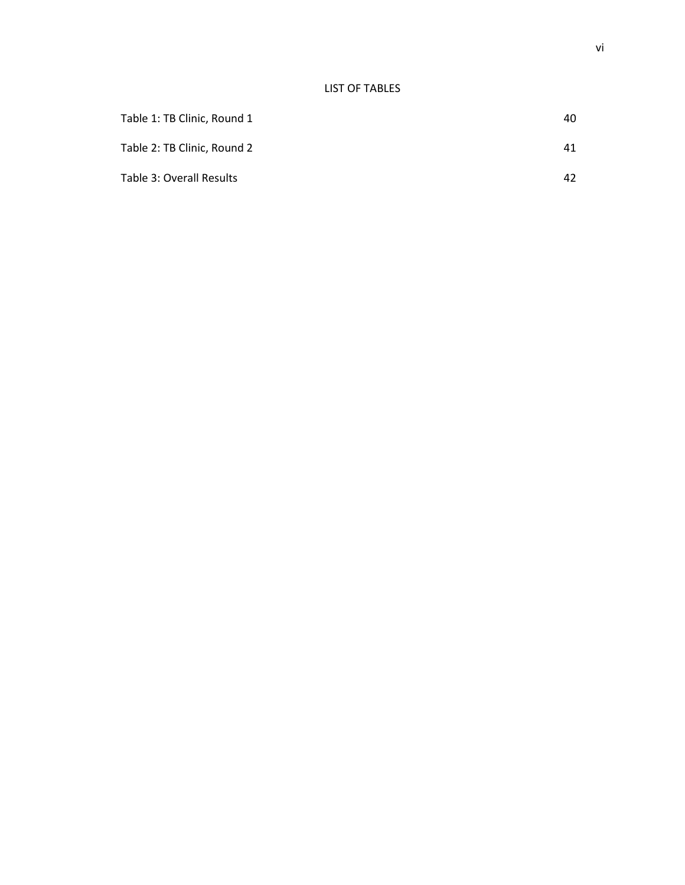| Table 1: TB Clinic, Round 1 | 40 |
|-----------------------------|----|
| Table 2: TB Clinic, Round 2 | 41 |
| Table 3: Overall Results    | 42 |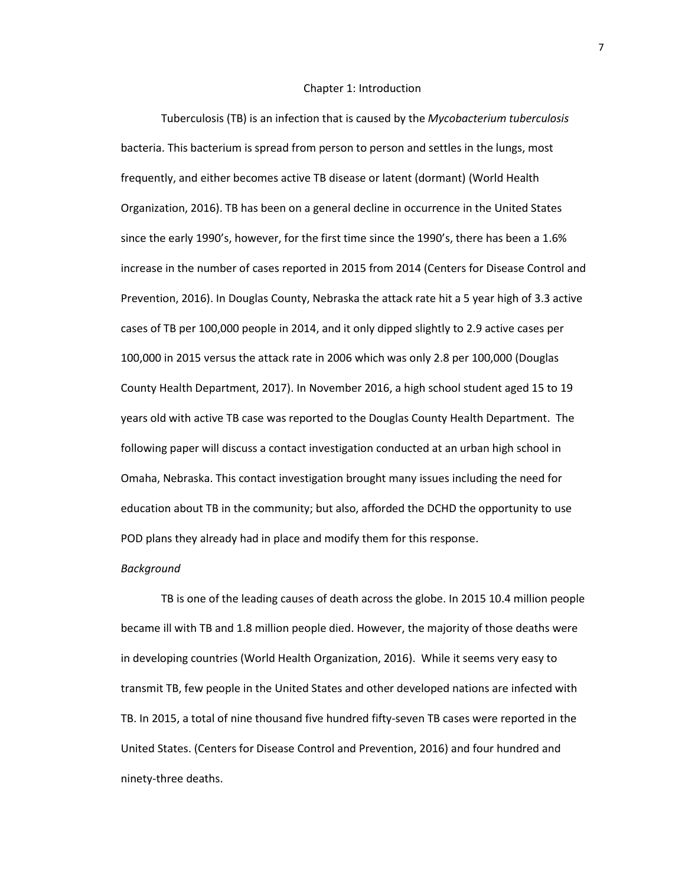#### Chapter 1: Introduction

Tuberculosis (TB) is an infection that is caused by the *Mycobacterium tuberculosis* bacteria. This bacterium is spread from person to person and settles in the lungs, most frequently, and either becomes active TB disease or latent (dormant) (World Health Organization, 2016). TB has been on a general decline in occurrence in the United States since the early 1990's, however, for the first time since the 1990's, there has been a 1.6% increase in the number of cases reported in 2015 from 2014 (Centers for Disease Control and Prevention, 2016). In Douglas County, Nebraska the attack rate hit a 5 year high of 3.3 active cases of TB per 100,000 people in 2014, and it only dipped slightly to 2.9 active cases per 100,000 in 2015 versus the attack rate in 2006 which was only 2.8 per 100,000 (Douglas County Health Department, 2017). In November 2016, a high school student aged 15 to 19 years old with active TB case was reported to the Douglas County Health Department. The following paper will discuss a contact investigation conducted at an urban high school in Omaha, Nebraska. This contact investigation brought many issues including the need for education about TB in the community; but also, afforded the DCHD the opportunity to use POD plans they already had in place and modify them for this response.

#### *Background*

TB is one of the leading causes of death across the globe. In 2015 10.4 million people became ill with TB and 1.8 million people died. However, the majority of those deaths were in developing countries (World Health Organization, 2016). While it seems very easy to transmit TB, few people in the United States and other developed nations are infected with TB. In 2015, a total of nine thousand five hundred fifty-seven TB cases were reported in the United States. (Centers for Disease Control and Prevention, 2016) and four hundred and ninety-three deaths.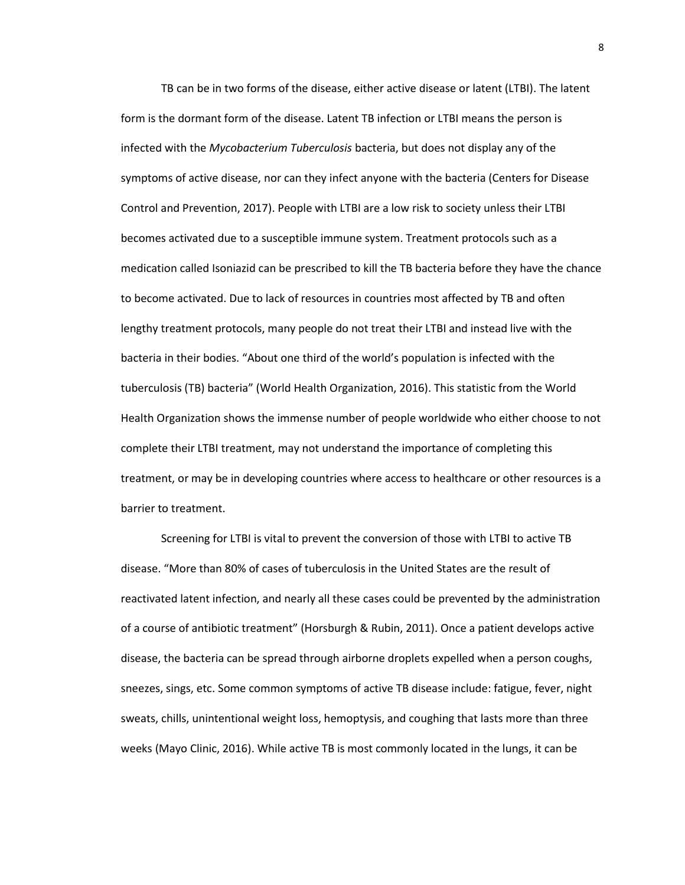TB can be in two forms of the disease, either active disease or latent (LTBI). The latent form is the dormant form of the disease. Latent TB infection or LTBI means the person is infected with the *Mycobacterium Tuberculosis* bacteria, but does not display any of the symptoms of active disease, nor can they infect anyone with the bacteria (Centers for Disease Control and Prevention, 2017). People with LTBI are a low risk to society unless their LTBI becomes activated due to a susceptible immune system. Treatment protocols such as a medication called Isoniazid can be prescribed to kill the TB bacteria before they have the chance to become activated. Due to lack of resources in countries most affected by TB and often lengthy treatment protocols, many people do not treat their LTBI and instead live with the bacteria in their bodies. "About one third of the world's population is infected with the tuberculosis (TB) bacteria" (World Health Organization, 2016). This statistic from the World Health Organization shows the immense number of people worldwide who either choose to not complete their LTBI treatment, may not understand the importance of completing this treatment, or may be in developing countries where access to healthcare or other resources is a barrier to treatment.

Screening for LTBI is vital to prevent the conversion of those with LTBI to active TB disease. "More than 80% of cases of tuberculosis in the United States are the result of reactivated latent infection, and nearly all these cases could be prevented by the administration of a course of antibiotic treatment" (Horsburgh & Rubin, 2011). Once a patient develops active disease, the bacteria can be spread through airborne droplets expelled when a person coughs, sneezes, sings, etc. Some common symptoms of active TB disease include: fatigue, fever, night sweats, chills, unintentional weight loss, hemoptysis, and coughing that lasts more than three weeks (Mayo Clinic, 2016). While active TB is most commonly located in the lungs, it can be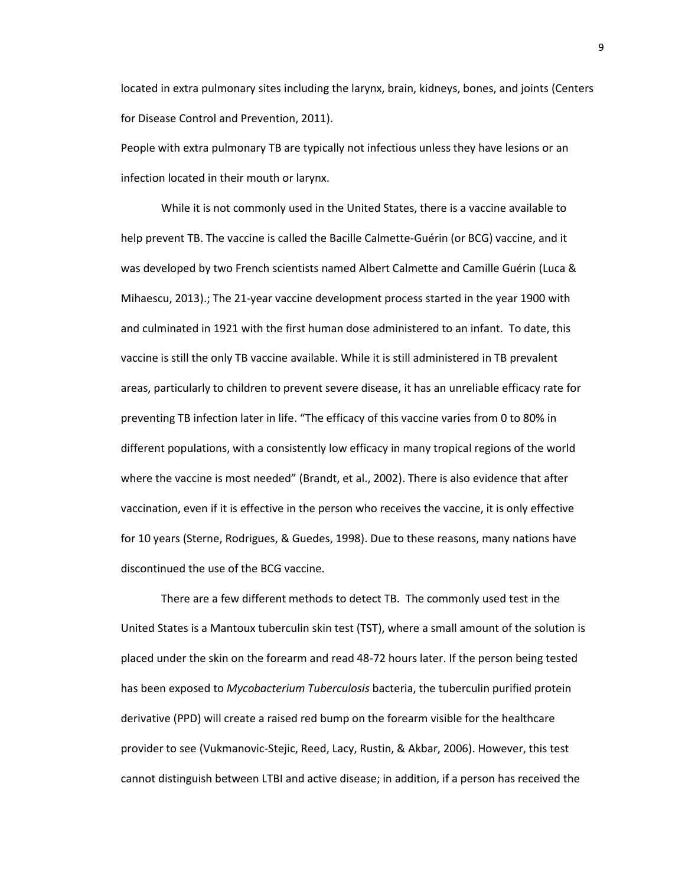located in extra pulmonary sites including the larynx, brain, kidneys, bones, and joints (Centers for Disease Control and Prevention, 2011).

People with extra pulmonary TB are typically not infectious unless they have lesions or an infection located in their mouth or larynx.

While it is not commonly used in the United States, there is a vaccine available to help prevent TB. The vaccine is called the Bacille Calmette-Guérin (or BCG) vaccine, and it was developed by two French scientists named Albert Calmette and Camille Guérin (Luca & Mihaescu, 2013).; The 21-year vaccine development process started in the year 1900 with and culminated in 1921 with the first human dose administered to an infant. To date, this vaccine is still the only TB vaccine available. While it is still administered in TB prevalent areas, particularly to children to prevent severe disease, it has an unreliable efficacy rate for preventing TB infection later in life. "The efficacy of this vaccine varies from 0 to 80% in different populations, with a consistently low efficacy in many tropical regions of the world where the vaccine is most needed" (Brandt, et al., 2002). There is also evidence that after vaccination, even if it is effective in the person who receives the vaccine, it is only effective for 10 years (Sterne, Rodrigues, & Guedes, 1998). Due to these reasons, many nations have discontinued the use of the BCG vaccine.

There are a few different methods to detect TB. The commonly used test in the United States is a Mantoux tuberculin skin test (TST), where a small amount of the solution is placed under the skin on the forearm and read 48-72 hours later. If the person being tested has been exposed to *Mycobacterium Tuberculosis* bacteria, the tuberculin purified protein derivative (PPD) will create a raised red bump on the forearm visible for the healthcare provider to see (Vukmanovic-Stejic, Reed, Lacy, Rustin, & Akbar, 2006). However, this test cannot distinguish between LTBI and active disease; in addition, if a person has received the

9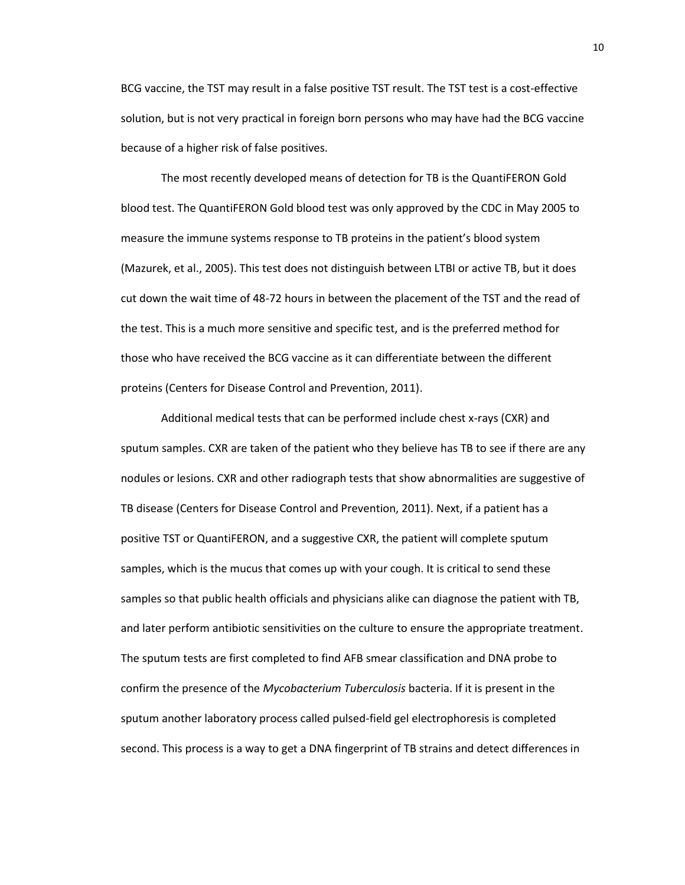BCG vaccine, the TST may result in a false positive TST result. The TST test is a cost-effective solution, but is not very practical in foreign born persons who may have had the BCG vaccine because of a higher risk of false positives.

The most recently developed means of detection for TB is the QuantiFERON Gold blood test. The QuantiFERON Gold blood test was only approved by the CDC in May 2005 to measure the immune systems response to TB proteins in the patient's blood system (Mazurek, et al., 2005). This test does not distinguish between LTBI or active TB, but it does cut down the wait time of 48-72 hours in between the placement of the TST and the read of the test. This is a much more sensitive and specific test, and is the preferred method for those who have received the BCG vaccine as it can differentiate between the different proteins (Centers for Disease Control and Prevention, 2011).

Additional medical tests that can be performed include chest x-rays (CXR) and sputum samples. CXR are taken of the patient who they believe has TB to see if there are any nodules or lesions. CXR and other radiograph tests that show abnormalities are suggestive of TB disease (Centers for Disease Control and Prevention, 2011). Next, if a patient has a positive TST or QuantiFERON, and a suggestive CXR, the patient will complete sputum samples, which is the mucus that comes up with your cough. It is critical to send these samples so that public health officials and physicians alike can diagnose the patient with TB, and later perform antibiotic sensitivities on the culture to ensure the appropriate treatment. The sputum tests are first completed to find AFB smear classification and DNA probe to confirm the presence of the *Mycobacterium Tuberculosis* bacteria. If it is present in the sputum another laboratory process called pulsed-field gel electrophoresis is completed second. This process is a way to get a DNA fingerprint of TB strains and detect differences in

10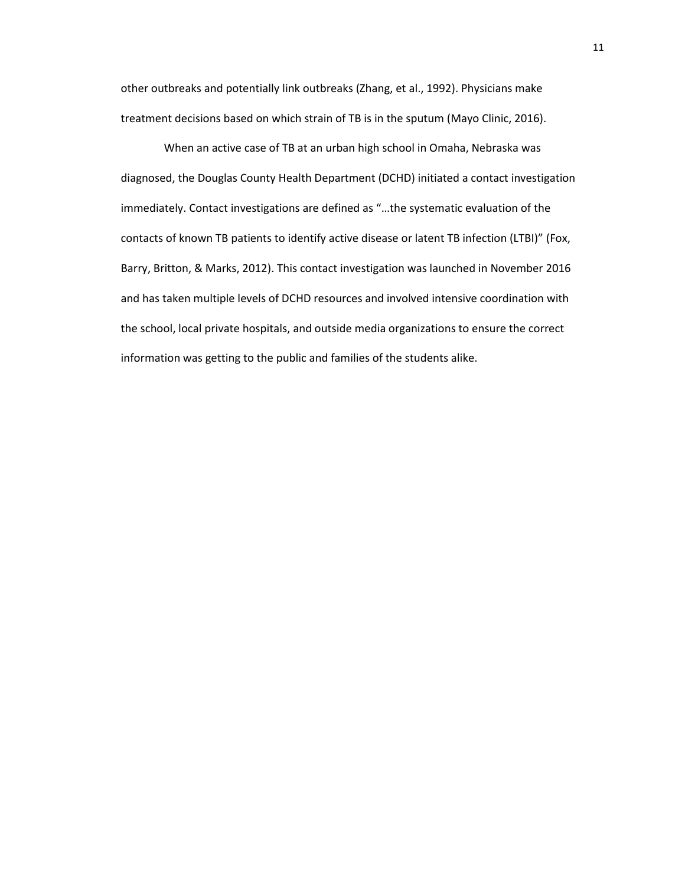other outbreaks and potentially link outbreaks (Zhang, et al., 1992). Physicians make treatment decisions based on which strain of TB is in the sputum (Mayo Clinic, 2016).

When an active case of TB at an urban high school in Omaha, Nebraska was diagnosed, the Douglas County Health Department (DCHD) initiated a contact investigation immediately. Contact investigations are defined as "…the systematic evaluation of the contacts of known TB patients to identify active disease or latent TB infection (LTBI)" (Fox, Barry, Britton, & Marks, 2012). This contact investigation was launched in November 2016 and has taken multiple levels of DCHD resources and involved intensive coordination with the school, local private hospitals, and outside media organizations to ensure the correct information was getting to the public and families of the students alike.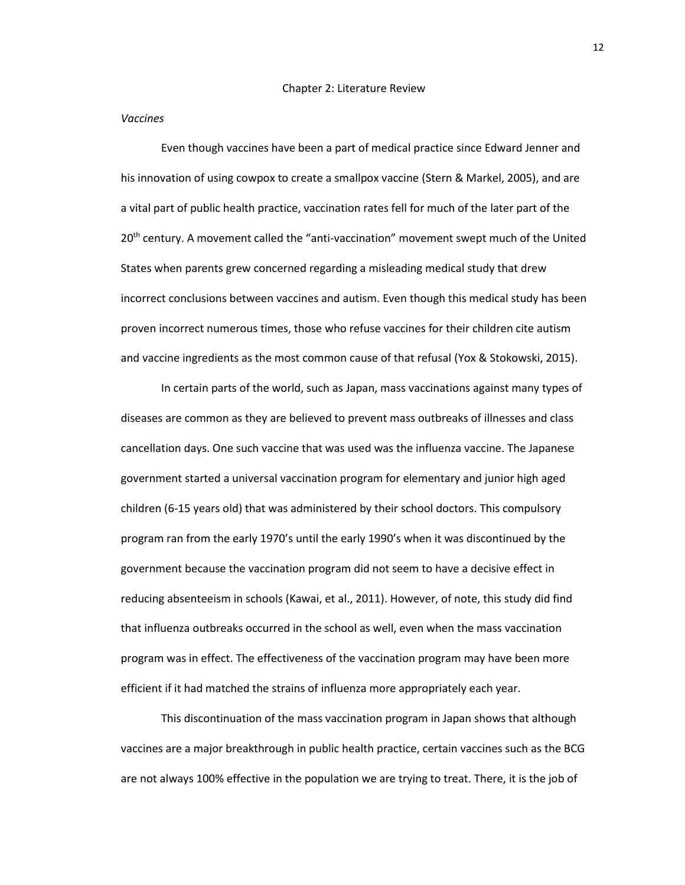#### *Vaccines*

Even though vaccines have been a part of medical practice since Edward Jenner and his innovation of using cowpox to create a smallpox vaccine (Stern & Markel, 2005), and are a vital part of public health practice, vaccination rates fell for much of the later part of the 20<sup>th</sup> century. A movement called the "anti-vaccination" movement swept much of the United States when parents grew concerned regarding a misleading medical study that drew incorrect conclusions between vaccines and autism. Even though this medical study has been proven incorrect numerous times, those who refuse vaccines for their children cite autism and vaccine ingredients as the most common cause of that refusal (Yox & Stokowski, 2015).

In certain parts of the world, such as Japan, mass vaccinations against many types of diseases are common as they are believed to prevent mass outbreaks of illnesses and class cancellation days. One such vaccine that was used was the influenza vaccine. The Japanese government started a universal vaccination program for elementary and junior high aged children (6-15 years old) that was administered by their school doctors. This compulsory program ran from the early 1970's until the early 1990's when it was discontinued by the government because the vaccination program did not seem to have a decisive effect in reducing absenteeism in schools (Kawai, et al., 2011). However, of note, this study did find that influenza outbreaks occurred in the school as well, even when the mass vaccination program was in effect. The effectiveness of the vaccination program may have been more efficient if it had matched the strains of influenza more appropriately each year.

This discontinuation of the mass vaccination program in Japan shows that although vaccines are a major breakthrough in public health practice, certain vaccines such as the BCG are not always 100% effective in the population we are trying to treat. There, it is the job of

12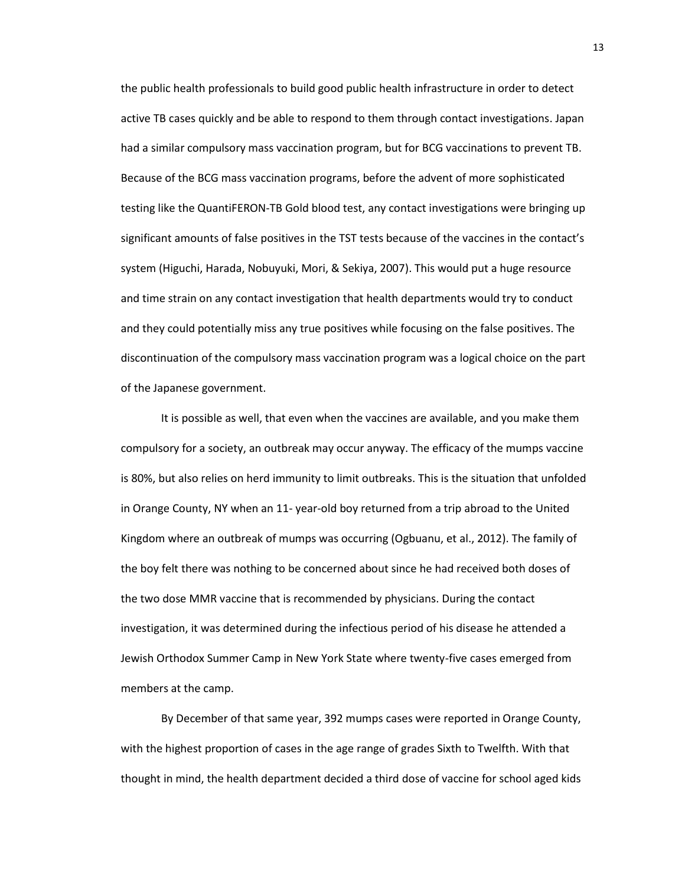the public health professionals to build good public health infrastructure in order to detect active TB cases quickly and be able to respond to them through contact investigations. Japan had a similar compulsory mass vaccination program, but for BCG vaccinations to prevent TB. Because of the BCG mass vaccination programs, before the advent of more sophisticated testing like the QuantiFERON-TB Gold blood test, any contact investigations were bringing up significant amounts of false positives in the TST tests because of the vaccines in the contact's system (Higuchi, Harada, Nobuyuki, Mori, & Sekiya, 2007). This would put a huge resource and time strain on any contact investigation that health departments would try to conduct and they could potentially miss any true positives while focusing on the false positives. The discontinuation of the compulsory mass vaccination program was a logical choice on the part of the Japanese government.

It is possible as well, that even when the vaccines are available, and you make them compulsory for a society, an outbreak may occur anyway. The efficacy of the mumps vaccine is 80%, but also relies on herd immunity to limit outbreaks. This is the situation that unfolded in Orange County, NY when an 11- year-old boy returned from a trip abroad to the United Kingdom where an outbreak of mumps was occurring (Ogbuanu, et al., 2012). The family of the boy felt there was nothing to be concerned about since he had received both doses of the two dose MMR vaccine that is recommended by physicians. During the contact investigation, it was determined during the infectious period of his disease he attended a Jewish Orthodox Summer Camp in New York State where twenty-five cases emerged from members at the camp.

By December of that same year, 392 mumps cases were reported in Orange County, with the highest proportion of cases in the age range of grades Sixth to Twelfth. With that thought in mind, the health department decided a third dose of vaccine for school aged kids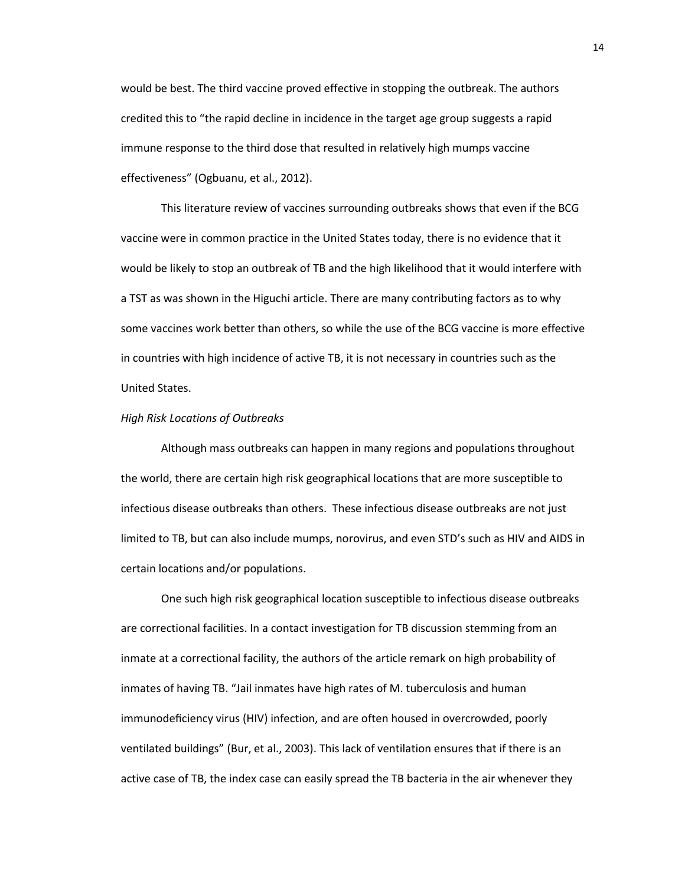would be best. The third vaccine proved effective in stopping the outbreak. The authors credited this to "the rapid decline in incidence in the target age group suggests a rapid immune response to the third dose that resulted in relatively high mumps vaccine effectiveness" (Ogbuanu, et al., 2012).

This literature review of vaccines surrounding outbreaks shows that even if the BCG vaccine were in common practice in the United States today, there is no evidence that it would be likely to stop an outbreak of TB and the high likelihood that it would interfere with a TST as was shown in the Higuchi article. There are many contributing factors as to why some vaccines work better than others, so while the use of the BCG vaccine is more effective in countries with high incidence of active TB, it is not necessary in countries such as the United States.

### *High Risk Locations of Outbreaks*

Although mass outbreaks can happen in many regions and populations throughout the world, there are certain high risk geographical locations that are more susceptible to infectious disease outbreaks than others. These infectious disease outbreaks are not just limited to TB, but can also include mumps, norovirus, and even STD's such as HIV and AIDS in certain locations and/or populations.

One such high risk geographical location susceptible to infectious disease outbreaks are correctional facilities. In a contact investigation for TB discussion stemming from an inmate at a correctional facility, the authors of the article remark on high probability of inmates of having TB. "Jail inmates have high rates of M. tuberculosis and human immunodeficiency virus (HIV) infection, and are often housed in overcrowded, poorly ventilated buildings" (Bur, et al., 2003). This lack of ventilation ensures that if there is an active case of TB, the index case can easily spread the TB bacteria in the air whenever they

14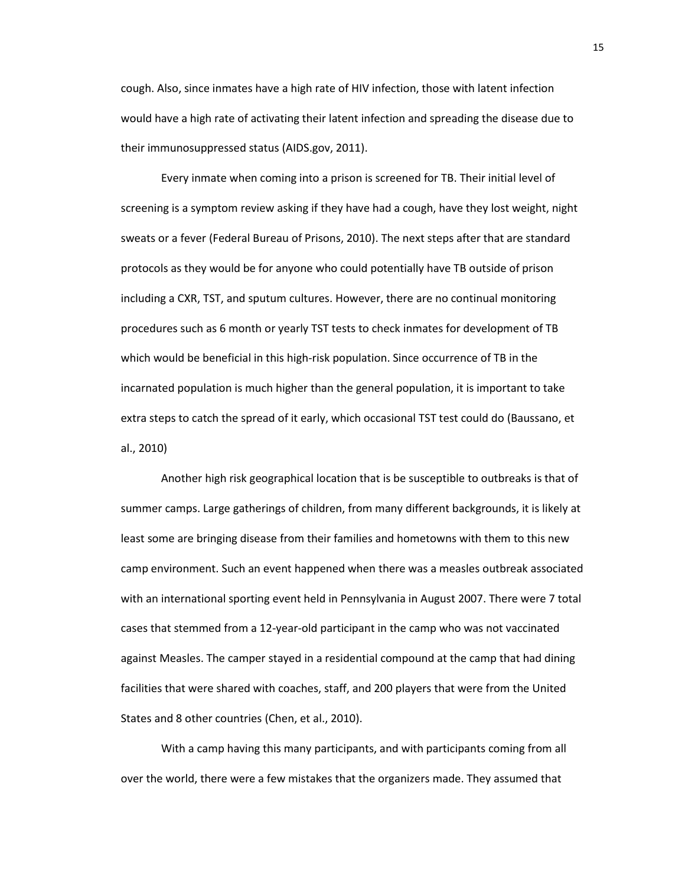cough. Also, since inmates have a high rate of HIV infection, those with latent infection would have a high rate of activating their latent infection and spreading the disease due to their immunosuppressed status (AIDS.gov, 2011).

Every inmate when coming into a prison is screened for TB. Their initial level of screening is a symptom review asking if they have had a cough, have they lost weight, night sweats or a fever (Federal Bureau of Prisons, 2010). The next steps after that are standard protocols as they would be for anyone who could potentially have TB outside of prison including a CXR, TST, and sputum cultures. However, there are no continual monitoring procedures such as 6 month or yearly TST tests to check inmates for development of TB which would be beneficial in this high-risk population. Since occurrence of TB in the incarnated population is much higher than the general population, it is important to take extra steps to catch the spread of it early, which occasional TST test could do (Baussano, et al., 2010)

Another high risk geographical location that is be susceptible to outbreaks is that of summer camps. Large gatherings of children, from many different backgrounds, it is likely at least some are bringing disease from their families and hometowns with them to this new camp environment. Such an event happened when there was a measles outbreak associated with an international sporting event held in Pennsylvania in August 2007. There were 7 total cases that stemmed from a 12-year-old participant in the camp who was not vaccinated against Measles. The camper stayed in a residential compound at the camp that had dining facilities that were shared with coaches, staff, and 200 players that were from the United States and 8 other countries (Chen, et al., 2010).

With a camp having this many participants, and with participants coming from all over the world, there were a few mistakes that the organizers made. They assumed that

15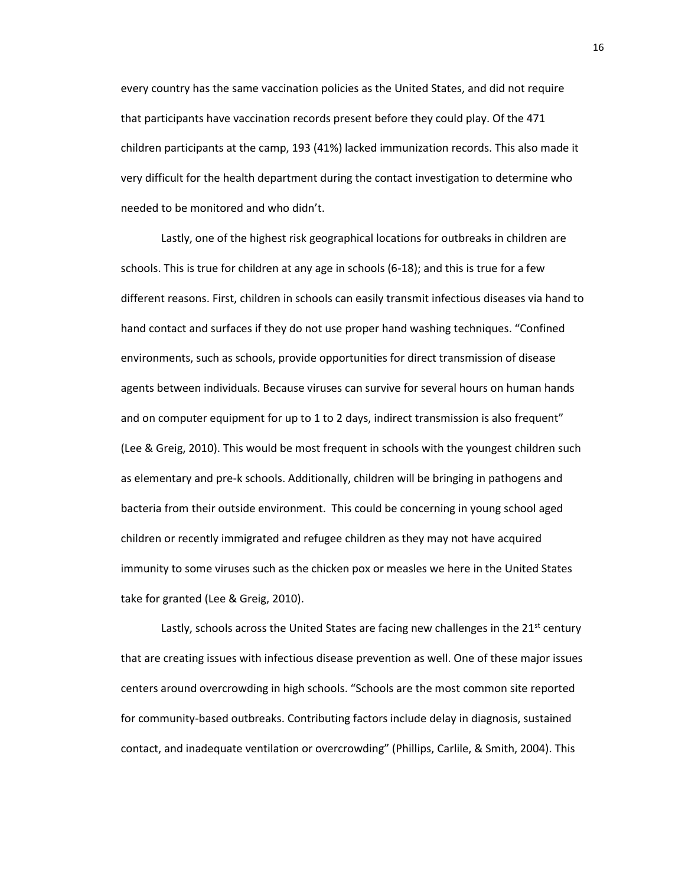every country has the same vaccination policies as the United States, and did not require that participants have vaccination records present before they could play. Of the 471 children participants at the camp, 193 (41%) lacked immunization records. This also made it very difficult for the health department during the contact investigation to determine who needed to be monitored and who didn't.

Lastly, one of the highest risk geographical locations for outbreaks in children are schools. This is true for children at any age in schools (6-18); and this is true for a few different reasons. First, children in schools can easily transmit infectious diseases via hand to hand contact and surfaces if they do not use proper hand washing techniques. "Confined environments, such as schools, provide opportunities for direct transmission of disease agents between individuals. Because viruses can survive for several hours on human hands and on computer equipment for up to 1 to 2 days, indirect transmission is also frequent" (Lee & Greig, 2010). This would be most frequent in schools with the youngest children such as elementary and pre-k schools. Additionally, children will be bringing in pathogens and bacteria from their outside environment. This could be concerning in young school aged children or recently immigrated and refugee children as they may not have acquired immunity to some viruses such as the chicken pox or measles we here in the United States take for granted (Lee & Greig, 2010).

Lastly, schools across the United States are facing new challenges in the  $21<sup>st</sup>$  century that are creating issues with infectious disease prevention as well. One of these major issues centers around overcrowding in high schools. "Schools are the most common site reported for community-based outbreaks. Contributing factors include delay in diagnosis, sustained contact, and inadequate ventilation or overcrowding" (Phillips, Carlile, & Smith, 2004). This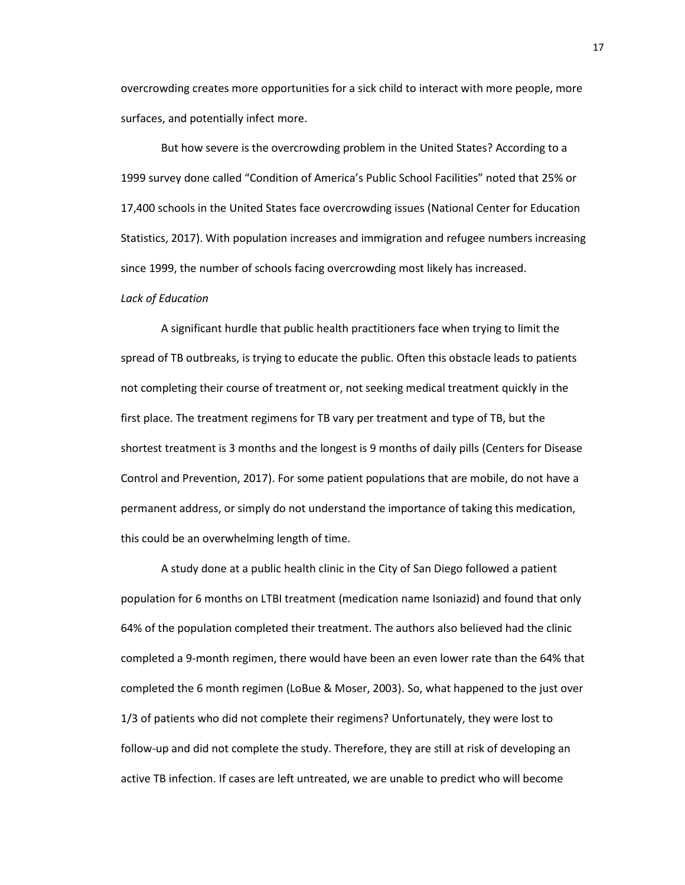overcrowding creates more opportunities for a sick child to interact with more people, more surfaces, and potentially infect more.

But how severe is the overcrowding problem in the United States? According to a 1999 survey done called "Condition of America's Public School Facilities" noted that 25% or 17,400 schools in the United States face overcrowding issues (National Center for Education Statistics, 2017). With population increases and immigration and refugee numbers increasing since 1999, the number of schools facing overcrowding most likely has increased.

## *Lack of Education*

A significant hurdle that public health practitioners face when trying to limit the spread of TB outbreaks, is trying to educate the public. Often this obstacle leads to patients not completing their course of treatment or, not seeking medical treatment quickly in the first place. The treatment regimens for TB vary per treatment and type of TB, but the shortest treatment is 3 months and the longest is 9 months of daily pills (Centers for Disease Control and Prevention, 2017). For some patient populations that are mobile, do not have a permanent address, or simply do not understand the importance of taking this medication, this could be an overwhelming length of time.

A study done at a public health clinic in the City of San Diego followed a patient population for 6 months on LTBI treatment (medication name Isoniazid) and found that only 64% of the population completed their treatment. The authors also believed had the clinic completed a 9-month regimen, there would have been an even lower rate than the 64% that completed the 6 month regimen (LoBue & Moser, 2003). So, what happened to the just over 1/3 of patients who did not complete their regimens? Unfortunately, they were lost to follow-up and did not complete the study. Therefore, they are still at risk of developing an active TB infection. If cases are left untreated, we are unable to predict who will become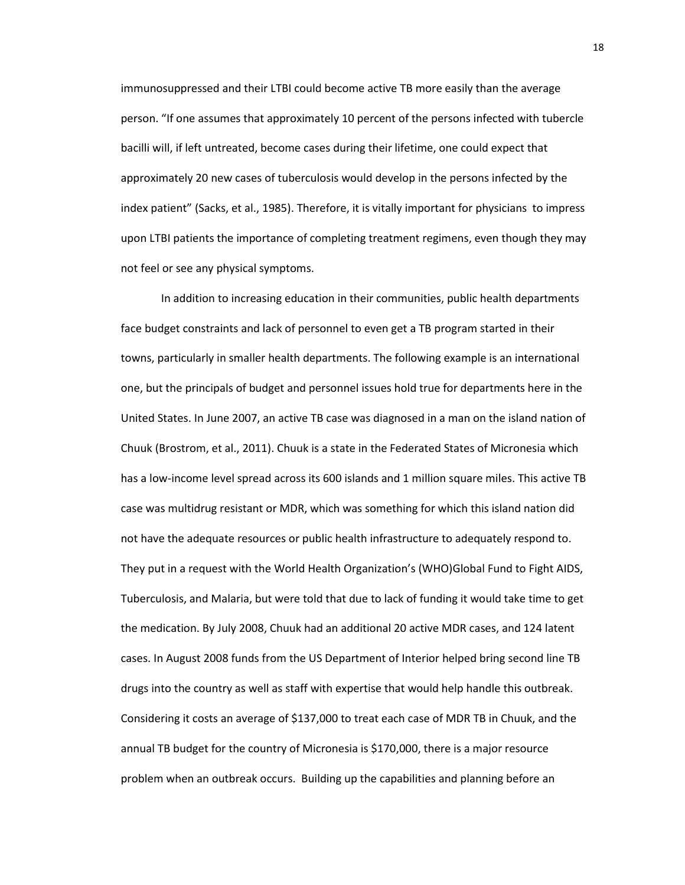immunosuppressed and their LTBI could become active TB more easily than the average person. "If one assumes that approximately 10 percent of the persons infected with tubercle bacilli will, if left untreated, become cases during their lifetime, one could expect that approximately 20 new cases of tuberculosis would develop in the persons infected by the index patient" (Sacks, et al., 1985). Therefore, it is vitally important for physicians to impress upon LTBI patients the importance of completing treatment regimens, even though they may not feel or see any physical symptoms.

In addition to increasing education in their communities, public health departments face budget constraints and lack of personnel to even get a TB program started in their towns, particularly in smaller health departments. The following example is an international one, but the principals of budget and personnel issues hold true for departments here in the United States. In June 2007, an active TB case was diagnosed in a man on the island nation of Chuuk (Brostrom, et al., 2011). Chuuk is a state in the Federated States of Micronesia which has a low-income level spread across its 600 islands and 1 million square miles. This active TB case was multidrug resistant or MDR, which was something for which this island nation did not have the adequate resources or public health infrastructure to adequately respond to. They put in a request with the World Health Organization's (WHO)Global Fund to Fight AIDS, Tuberculosis, and Malaria, but were told that due to lack of funding it would take time to get the medication. By July 2008, Chuuk had an additional 20 active MDR cases, and 124 latent cases. In August 2008 funds from the US Department of Interior helped bring second line TB drugs into the country as well as staff with expertise that would help handle this outbreak. Considering it costs an average of \$137,000 to treat each case of MDR TB in Chuuk, and the annual TB budget for the country of Micronesia is \$170,000, there is a major resource problem when an outbreak occurs. Building up the capabilities and planning before an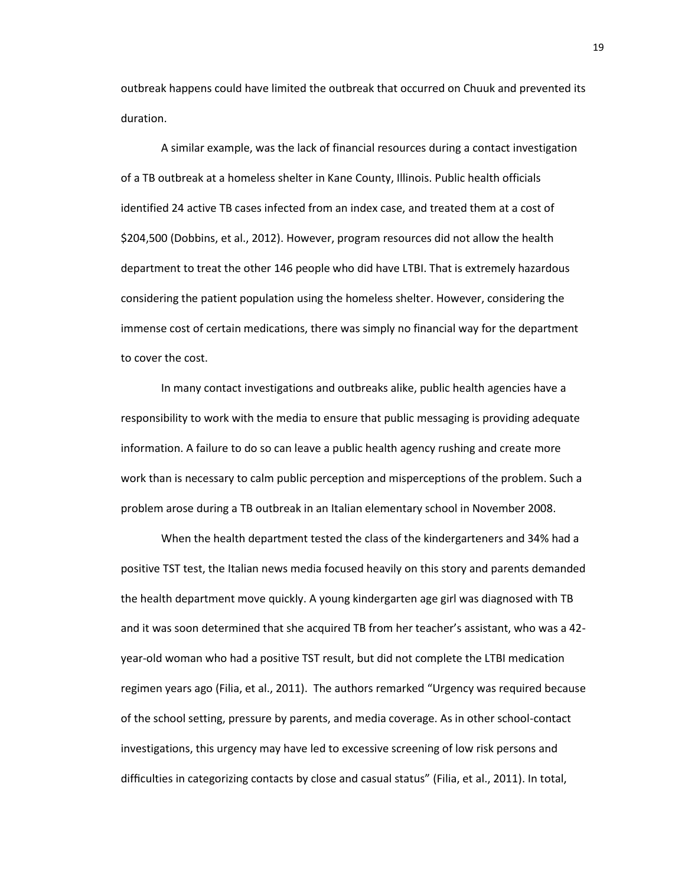outbreak happens could have limited the outbreak that occurred on Chuuk and prevented its duration.

A similar example, was the lack of financial resources during a contact investigation of a TB outbreak at a homeless shelter in Kane County, Illinois. Public health officials identified 24 active TB cases infected from an index case, and treated them at a cost of \$204,500 (Dobbins, et al., 2012). However, program resources did not allow the health department to treat the other 146 people who did have LTBI. That is extremely hazardous considering the patient population using the homeless shelter. However, considering the immense cost of certain medications, there was simply no financial way for the department to cover the cost.

In many contact investigations and outbreaks alike, public health agencies have a responsibility to work with the media to ensure that public messaging is providing adequate information. A failure to do so can leave a public health agency rushing and create more work than is necessary to calm public perception and misperceptions of the problem. Such a problem arose during a TB outbreak in an Italian elementary school in November 2008.

When the health department tested the class of the kindergarteners and 34% had a positive TST test, the Italian news media focused heavily on this story and parents demanded the health department move quickly. A young kindergarten age girl was diagnosed with TB and it was soon determined that she acquired TB from her teacher's assistant, who was a 42 year-old woman who had a positive TST result, but did not complete the LTBI medication regimen years ago (Filia, et al., 2011). The authors remarked "Urgency was required because of the school setting, pressure by parents, and media coverage. As in other school-contact investigations, this urgency may have led to excessive screening of low risk persons and difficulties in categorizing contacts by close and casual status" (Filia, et al., 2011). In total,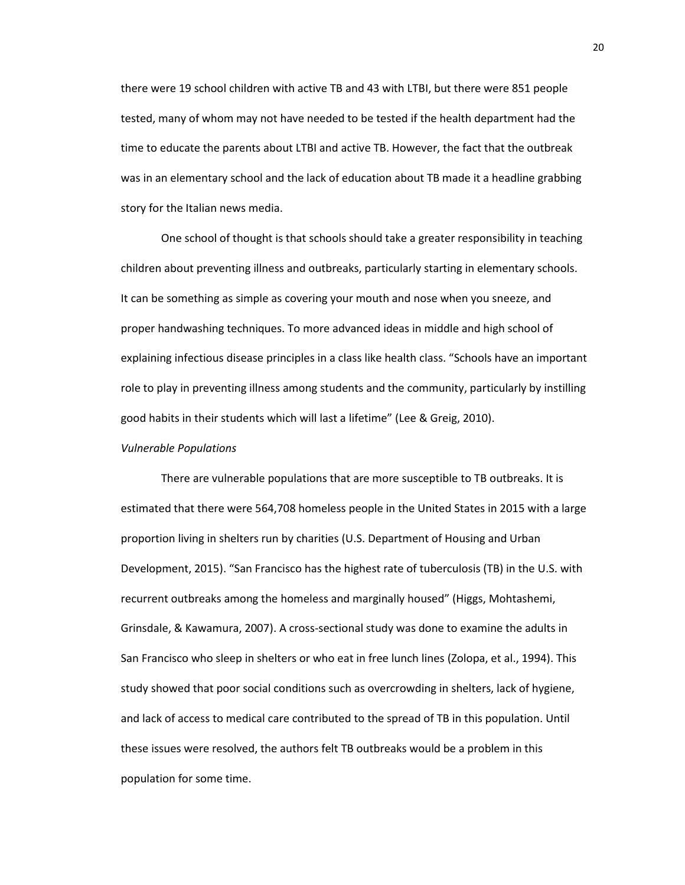there were 19 school children with active TB and 43 with LTBI, but there were 851 people tested, many of whom may not have needed to be tested if the health department had the time to educate the parents about LTBI and active TB. However, the fact that the outbreak was in an elementary school and the lack of education about TB made it a headline grabbing story for the Italian news media.

One school of thought is that schools should take a greater responsibility in teaching children about preventing illness and outbreaks, particularly starting in elementary schools. It can be something as simple as covering your mouth and nose when you sneeze, and proper handwashing techniques. To more advanced ideas in middle and high school of explaining infectious disease principles in a class like health class. "Schools have an important role to play in preventing illness among students and the community, particularly by instilling good habits in their students which will last a lifetime" (Lee & Greig, 2010).

#### *Vulnerable Populations*

There are vulnerable populations that are more susceptible to TB outbreaks. It is estimated that there were 564,708 homeless people in the United States in 2015 with a large proportion living in shelters run by charities (U.S. Department of Housing and Urban Development, 2015). "San Francisco has the highest rate of tuberculosis (TB) in the U.S. with recurrent outbreaks among the homeless and marginally housed" (Higgs, Mohtashemi, Grinsdale, & Kawamura, 2007). A cross-sectional study was done to examine the adults in San Francisco who sleep in shelters or who eat in free lunch lines (Zolopa, et al., 1994). This study showed that poor social conditions such as overcrowding in shelters, lack of hygiene, and lack of access to medical care contributed to the spread of TB in this population. Until these issues were resolved, the authors felt TB outbreaks would be a problem in this population for some time.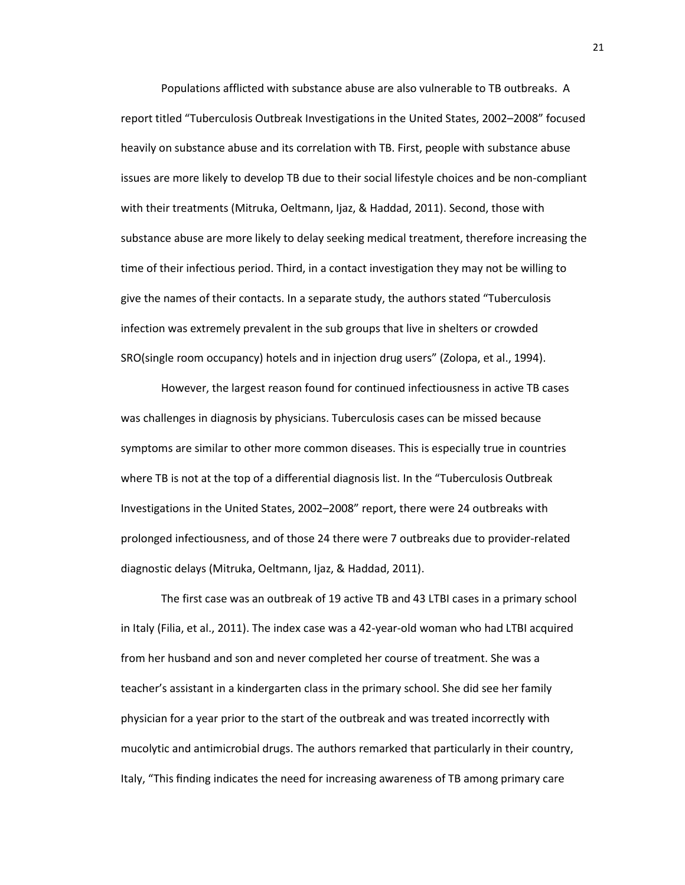Populations afflicted with substance abuse are also vulnerable to TB outbreaks. A report titled "Tuberculosis Outbreak Investigations in the United States, 2002–2008" focused heavily on substance abuse and its correlation with TB. First, people with substance abuse issues are more likely to develop TB due to their social lifestyle choices and be non-compliant with their treatments (Mitruka, Oeltmann, Ijaz, & Haddad, 2011). Second, those with substance abuse are more likely to delay seeking medical treatment, therefore increasing the time of their infectious period. Third, in a contact investigation they may not be willing to give the names of their contacts. In a separate study, the authors stated "Tuberculosis infection was extremely prevalent in the sub groups that live in shelters or crowded SRO(single room occupancy) hotels and in injection drug users" (Zolopa, et al., 1994).

However, the largest reason found for continued infectiousness in active TB cases was challenges in diagnosis by physicians. Tuberculosis cases can be missed because symptoms are similar to other more common diseases. This is especially true in countries where TB is not at the top of a differential diagnosis list. In the "Tuberculosis Outbreak Investigations in the United States, 2002–2008" report, there were 24 outbreaks with prolonged infectiousness, and of those 24 there were 7 outbreaks due to provider-related diagnostic delays (Mitruka, Oeltmann, Ijaz, & Haddad, 2011).

The first case was an outbreak of 19 active TB and 43 LTBI cases in a primary school in Italy (Filia, et al., 2011). The index case was a 42-year-old woman who had LTBI acquired from her husband and son and never completed her course of treatment. She was a teacher's assistant in a kindergarten class in the primary school. She did see her family physician for a year prior to the start of the outbreak and was treated incorrectly with mucolytic and antimicrobial drugs. The authors remarked that particularly in their country, Italy, "This finding indicates the need for increasing awareness of TB among primary care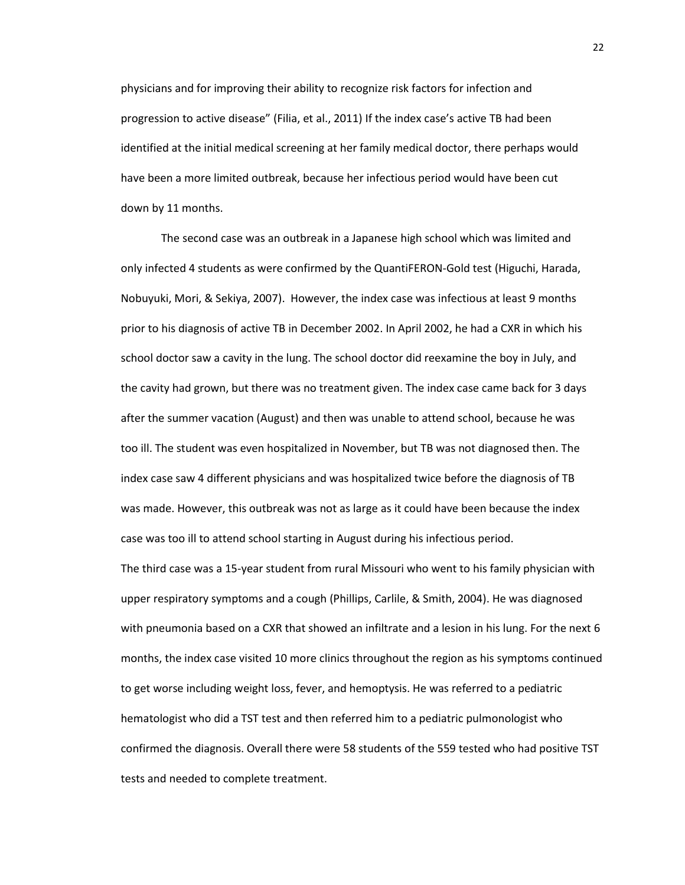physicians and for improving their ability to recognize risk factors for infection and progression to active disease" (Filia, et al., 2011) If the index case's active TB had been identified at the initial medical screening at her family medical doctor, there perhaps would have been a more limited outbreak, because her infectious period would have been cut down by 11 months.

The second case was an outbreak in a Japanese high school which was limited and only infected 4 students as were confirmed by the QuantiFERON-Gold test (Higuchi, Harada, Nobuyuki, Mori, & Sekiya, 2007). However, the index case was infectious at least 9 months prior to his diagnosis of active TB in December 2002. In April 2002, he had a CXR in which his school doctor saw a cavity in the lung. The school doctor did reexamine the boy in July, and the cavity had grown, but there was no treatment given. The index case came back for 3 days after the summer vacation (August) and then was unable to attend school, because he was too ill. The student was even hospitalized in November, but TB was not diagnosed then. The index case saw 4 different physicians and was hospitalized twice before the diagnosis of TB was made. However, this outbreak was not as large as it could have been because the index case was too ill to attend school starting in August during his infectious period.

The third case was a 15-year student from rural Missouri who went to his family physician with upper respiratory symptoms and a cough (Phillips, Carlile, & Smith, 2004). He was diagnosed with pneumonia based on a CXR that showed an infiltrate and a lesion in his lung. For the next 6 months, the index case visited 10 more clinics throughout the region as his symptoms continued to get worse including weight loss, fever, and hemoptysis. He was referred to a pediatric hematologist who did a TST test and then referred him to a pediatric pulmonologist who confirmed the diagnosis. Overall there were 58 students of the 559 tested who had positive TST tests and needed to complete treatment.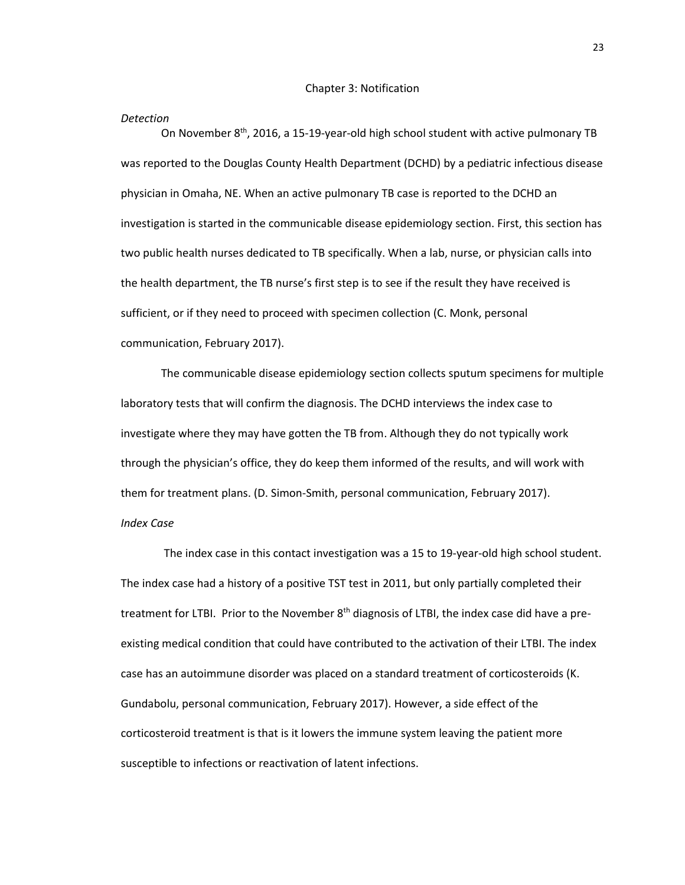#### *Detection*

On November 8th, 2016, a 15-19-year-old high school student with active pulmonary TB was reported to the Douglas County Health Department (DCHD) by a pediatric infectious disease physician in Omaha, NE. When an active pulmonary TB case is reported to the DCHD an investigation is started in the communicable disease epidemiology section. First, this section has two public health nurses dedicated to TB specifically. When a lab, nurse, or physician calls into the health department, the TB nurse's first step is to see if the result they have received is sufficient, or if they need to proceed with specimen collection (C. Monk, personal communication, February 2017).

The communicable disease epidemiology section collects sputum specimens for multiple laboratory tests that will confirm the diagnosis. The DCHD interviews the index case to investigate where they may have gotten the TB from. Although they do not typically work through the physician's office, they do keep them informed of the results, and will work with them for treatment plans. (D. Simon-Smith, personal communication, February 2017). *Index Case*

The index case in this contact investigation was a 15 to 19-year-old high school student. The index case had a history of a positive TST test in 2011, but only partially completed their treatment for LTBI. Prior to the November  $8<sup>th</sup>$  diagnosis of LTBI, the index case did have a preexisting medical condition that could have contributed to the activation of their LTBI. The index case has an autoimmune disorder was placed on a standard treatment of corticosteroids (K. Gundabolu, personal communication, February 2017). However, a side effect of the corticosteroid treatment is that is it lowers the immune system leaving the patient more susceptible to infections or reactivation of latent infections.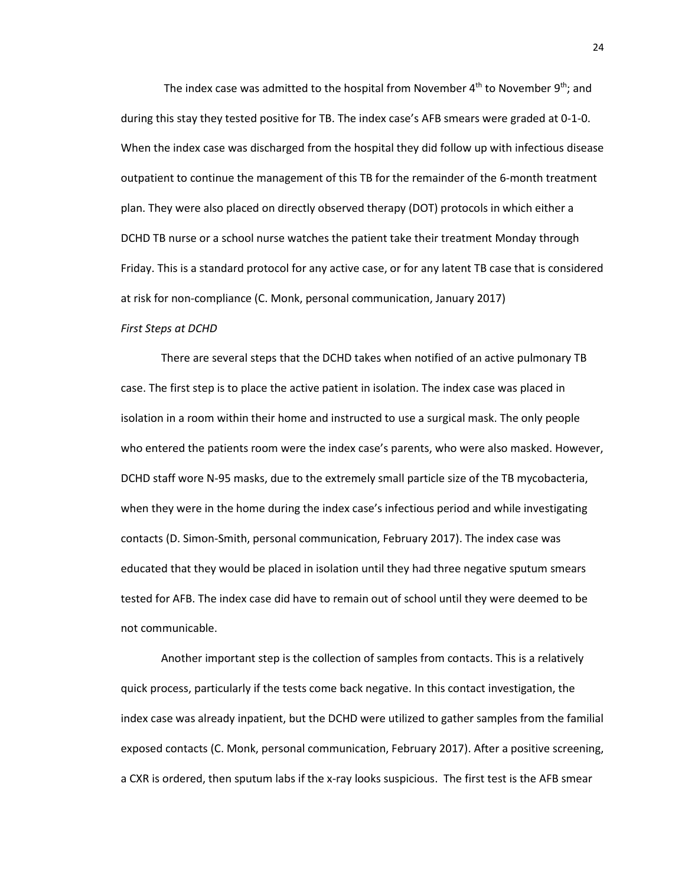The index case was admitted to the hospital from November  $4<sup>th</sup>$  to November  $9<sup>th</sup>$ ; and during this stay they tested positive for TB. The index case's AFB smears were graded at 0-1-0. When the index case was discharged from the hospital they did follow up with infectious disease outpatient to continue the management of this TB for the remainder of the 6-month treatment plan. They were also placed on directly observed therapy (DOT) protocols in which either a DCHD TB nurse or a school nurse watches the patient take their treatment Monday through Friday. This is a standard protocol for any active case, or for any latent TB case that is considered at risk for non-compliance (C. Monk, personal communication, January 2017)

#### *First Steps at DCHD*

There are several steps that the DCHD takes when notified of an active pulmonary TB case. The first step is to place the active patient in isolation. The index case was placed in isolation in a room within their home and instructed to use a surgical mask. The only people who entered the patients room were the index case's parents, who were also masked. However, DCHD staff wore N-95 masks, due to the extremely small particle size of the TB mycobacteria, when they were in the home during the index case's infectious period and while investigating contacts (D. Simon-Smith, personal communication, February 2017). The index case was educated that they would be placed in isolation until they had three negative sputum smears tested for AFB. The index case did have to remain out of school until they were deemed to be not communicable.

Another important step is the collection of samples from contacts. This is a relatively quick process, particularly if the tests come back negative. In this contact investigation, the index case was already inpatient, but the DCHD were utilized to gather samples from the familial exposed contacts (C. Monk, personal communication, February 2017). After a positive screening, a CXR is ordered, then sputum labs if the x-ray looks suspicious. The first test is the AFB smear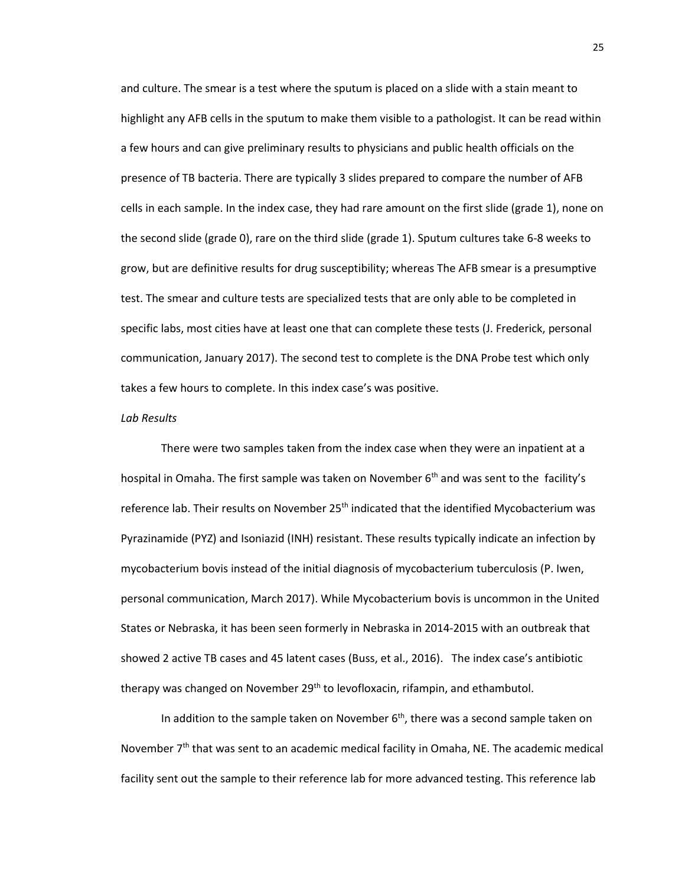and culture. The smear is a test where the sputum is placed on a slide with a stain meant to highlight any AFB cells in the sputum to make them visible to a pathologist. It can be read within a few hours and can give preliminary results to physicians and public health officials on the presence of TB bacteria. There are typically 3 slides prepared to compare the number of AFB cells in each sample. In the index case, they had rare amount on the first slide (grade 1), none on the second slide (grade 0), rare on the third slide (grade 1). Sputum cultures take 6-8 weeks to grow, but are definitive results for drug susceptibility; whereas The AFB smear is a presumptive test. The smear and culture tests are specialized tests that are only able to be completed in specific labs, most cities have at least one that can complete these tests (J. Frederick, personal communication, January 2017). The second test to complete is the DNA Probe test which only takes a few hours to complete. In this index case's was positive.

#### *Lab Results*

There were two samples taken from the index case when they were an inpatient at a hospital in Omaha. The first sample was taken on November  $6<sup>th</sup>$  and was sent to the facility's reference lab. Their results on November  $25<sup>th</sup>$  indicated that the identified Mycobacterium was Pyrazinamide (PYZ) and Isoniazid (INH) resistant. These results typically indicate an infection by mycobacterium bovis instead of the initial diagnosis of mycobacterium tuberculosis (P. Iwen, personal communication, March 2017). While Mycobacterium bovis is uncommon in the United States or Nebraska, it has been seen formerly in Nebraska in 2014-2015 with an outbreak that showed 2 active TB cases and 45 latent cases (Buss, et al., 2016). The index case's antibiotic therapy was changed on November 29<sup>th</sup> to levofloxacin, rifampin, and ethambutol.

In addition to the sample taken on November  $6<sup>th</sup>$ , there was a second sample taken on November  $7<sup>th</sup>$  that was sent to an academic medical facility in Omaha, NE. The academic medical facility sent out the sample to their reference lab for more advanced testing. This reference lab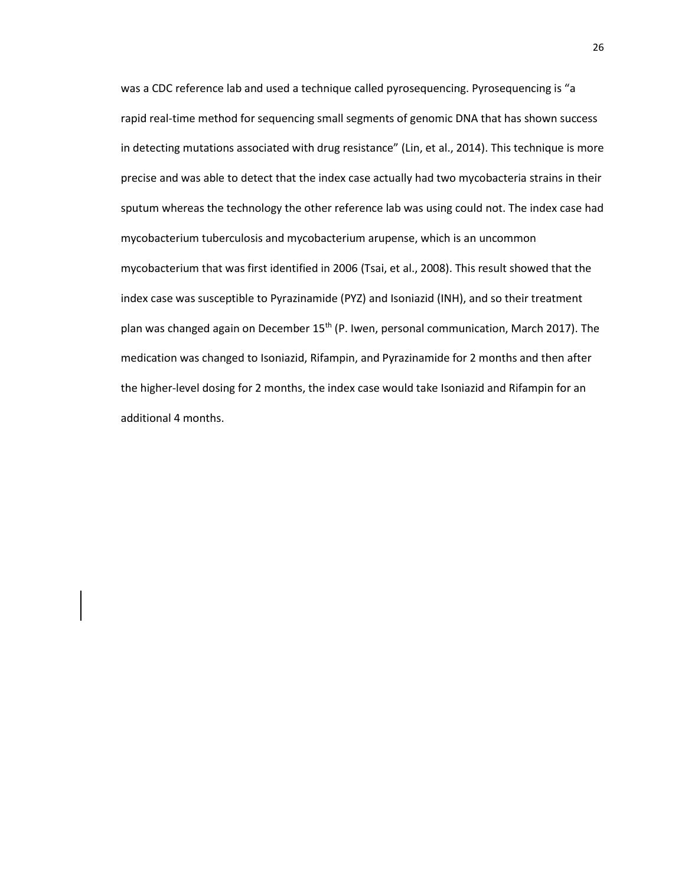was a CDC reference lab and used a technique called pyrosequencing. Pyrosequencing is "a rapid real-time method for sequencing small segments of genomic DNA that has shown success in detecting mutations associated with drug resistance" (Lin, et al., 2014). This technique is more precise and was able to detect that the index case actually had two mycobacteria strains in their sputum whereas the technology the other reference lab was using could not. The index case had mycobacterium tuberculosis and mycobacterium arupense, which is an uncommon mycobacterium that was first identified in 2006 (Tsai, et al., 2008). This result showed that the index case was susceptible to Pyrazinamide (PYZ) and Isoniazid (INH), and so their treatment plan was changed again on December 15<sup>th</sup> (P. Iwen, personal communication, March 2017). The medication was changed to Isoniazid, Rifampin, and Pyrazinamide for 2 months and then after the higher-level dosing for 2 months, the index case would take Isoniazid and Rifampin for an additional 4 months.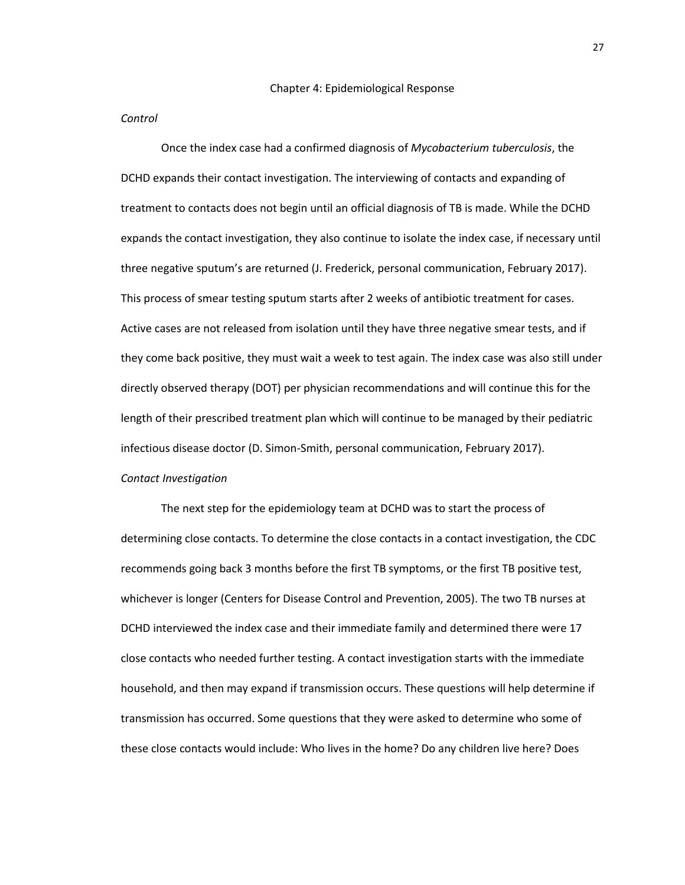#### *Control*

Once the index case had a confirmed diagnosis of *Mycobacterium tuberculosis*, the DCHD expands their contact investigation. The interviewing of contacts and expanding of treatment to contacts does not begin until an official diagnosis of TB is made. While the DCHD expands the contact investigation, they also continue to isolate the index case, if necessary until three negative sputum's are returned (J. Frederick, personal communication, February 2017). This process of smear testing sputum starts after 2 weeks of antibiotic treatment for cases. Active cases are not released from isolation until they have three negative smear tests, and if they come back positive, they must wait a week to test again. The index case was also still under directly observed therapy (DOT) per physician recommendations and will continue this for the length of their prescribed treatment plan which will continue to be managed by their pediatric infectious disease doctor (D. Simon-Smith, personal communication, February 2017). *Contact Investigation*

The next step for the epidemiology team at DCHD was to start the process of determining close contacts. To determine the close contacts in a contact investigation, the CDC recommends going back 3 months before the first TB symptoms, or the first TB positive test, whichever is longer (Centers for Disease Control and Prevention, 2005). The two TB nurses at DCHD interviewed the index case and their immediate family and determined there were 17 close contacts who needed further testing. A contact investigation starts with the immediate household, and then may expand if transmission occurs. These questions will help determine if transmission has occurred. Some questions that they were asked to determine who some of these close contacts would include: Who lives in the home? Do any children live here? Does

27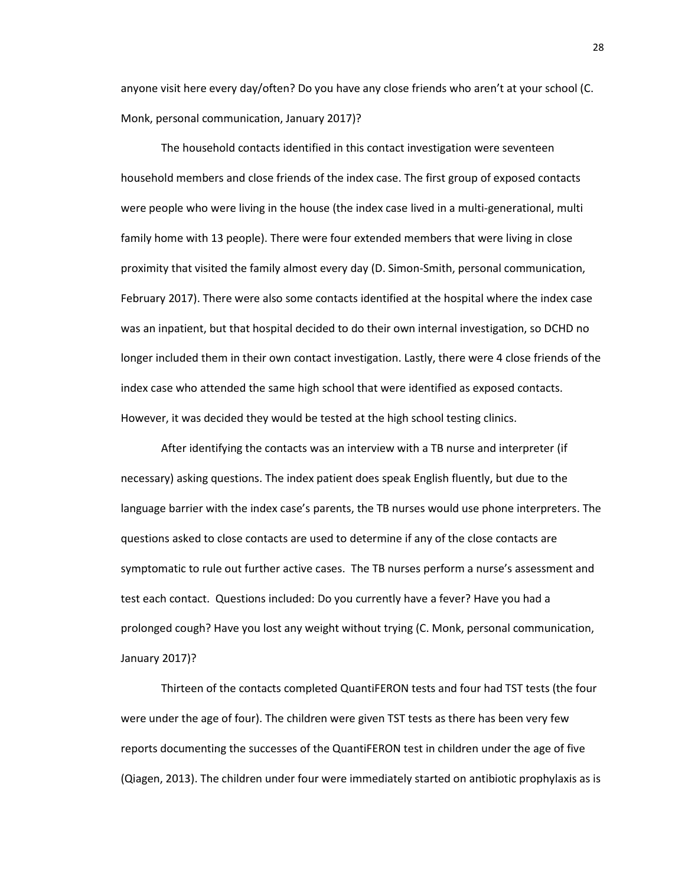anyone visit here every day/often? Do you have any close friends who aren't at your school (C. Monk, personal communication, January 2017)?

The household contacts identified in this contact investigation were seventeen household members and close friends of the index case. The first group of exposed contacts were people who were living in the house (the index case lived in a multi-generational, multi family home with 13 people). There were four extended members that were living in close proximity that visited the family almost every day (D. Simon-Smith, personal communication, February 2017). There were also some contacts identified at the hospital where the index case was an inpatient, but that hospital decided to do their own internal investigation, so DCHD no longer included them in their own contact investigation. Lastly, there were 4 close friends of the index case who attended the same high school that were identified as exposed contacts. However, it was decided they would be tested at the high school testing clinics.

After identifying the contacts was an interview with a TB nurse and interpreter (if necessary) asking questions. The index patient does speak English fluently, but due to the language barrier with the index case's parents, the TB nurses would use phone interpreters. The questions asked to close contacts are used to determine if any of the close contacts are symptomatic to rule out further active cases. The TB nurses perform a nurse's assessment and test each contact. Questions included: Do you currently have a fever? Have you had a prolonged cough? Have you lost any weight without trying (C. Monk, personal communication, January 2017)?

Thirteen of the contacts completed QuantiFERON tests and four had TST tests (the four were under the age of four). The children were given TST tests as there has been very few reports documenting the successes of the QuantiFERON test in children under the age of five (Qiagen, 2013). The children under four were immediately started on antibiotic prophylaxis as is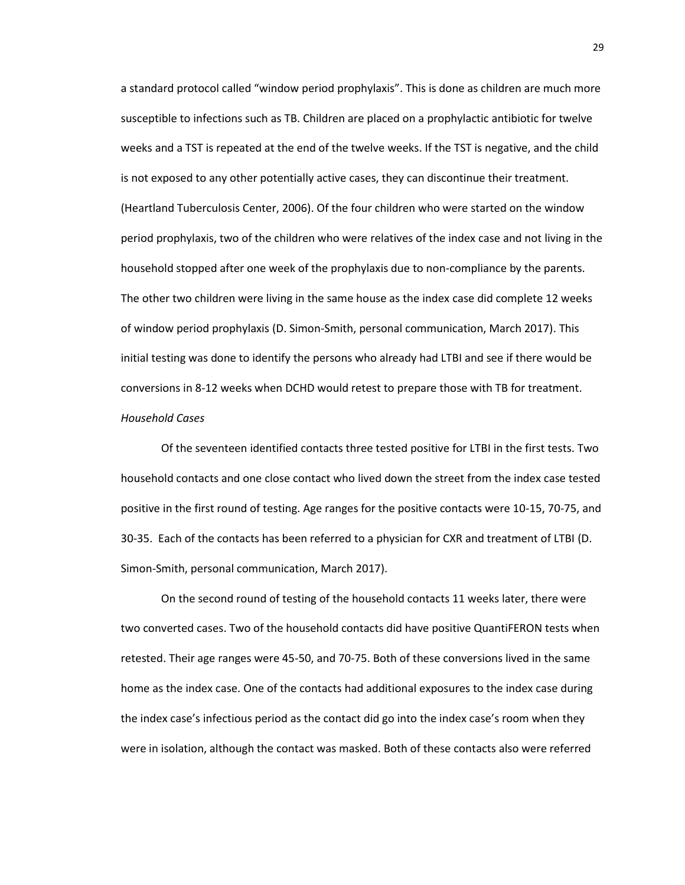a standard protocol called "window period prophylaxis". This is done as children are much more susceptible to infections such as TB. Children are placed on a prophylactic antibiotic for twelve weeks and a TST is repeated at the end of the twelve weeks. If the TST is negative, and the child is not exposed to any other potentially active cases, they can discontinue their treatment. (Heartland Tuberculosis Center, 2006). Of the four children who were started on the window period prophylaxis, two of the children who were relatives of the index case and not living in the household stopped after one week of the prophylaxis due to non-compliance by the parents. The other two children were living in the same house as the index case did complete 12 weeks of window period prophylaxis (D. Simon-Smith, personal communication, March 2017). This initial testing was done to identify the persons who already had LTBI and see if there would be conversions in 8-12 weeks when DCHD would retest to prepare those with TB for treatment. *Household Cases*

Of the seventeen identified contacts three tested positive for LTBI in the first tests. Two household contacts and one close contact who lived down the street from the index case tested positive in the first round of testing. Age ranges for the positive contacts were 10-15, 70-75, and 30-35. Each of the contacts has been referred to a physician for CXR and treatment of LTBI (D. Simon-Smith, personal communication, March 2017).

On the second round of testing of the household contacts 11 weeks later, there were two converted cases. Two of the household contacts did have positive QuantiFERON tests when retested. Their age ranges were 45-50, and 70-75. Both of these conversions lived in the same home as the index case. One of the contacts had additional exposures to the index case during the index case's infectious period as the contact did go into the index case's room when they were in isolation, although the contact was masked. Both of these contacts also were referred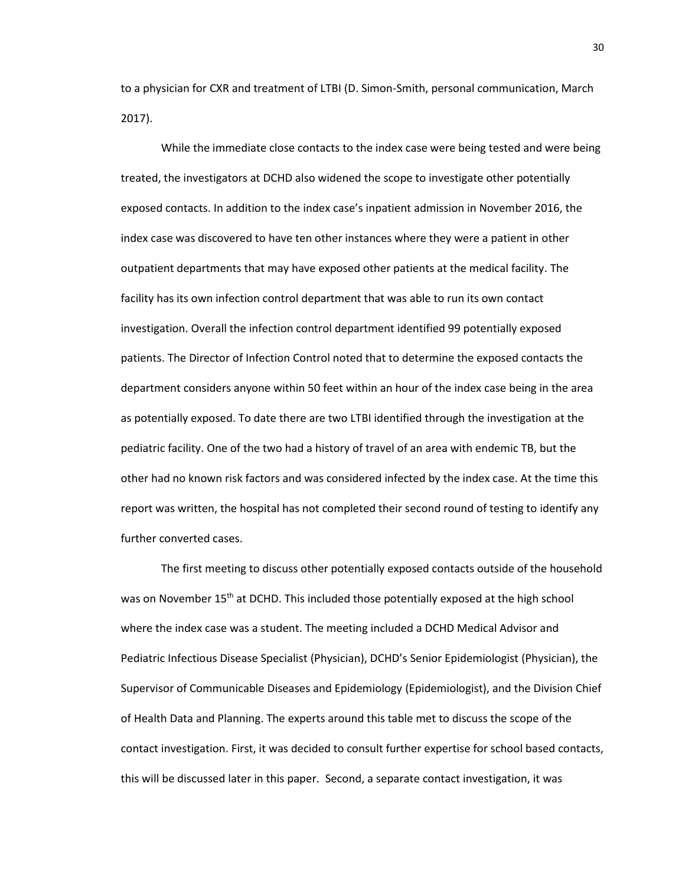to a physician for CXR and treatment of LTBI (D. Simon-Smith, personal communication, March 2017).

While the immediate close contacts to the index case were being tested and were being treated, the investigators at DCHD also widened the scope to investigate other potentially exposed contacts. In addition to the index case's inpatient admission in November 2016, the index case was discovered to have ten other instances where they were a patient in other outpatient departments that may have exposed other patients at the medical facility. The facility has its own infection control department that was able to run its own contact investigation. Overall the infection control department identified 99 potentially exposed patients. The Director of Infection Control noted that to determine the exposed contacts the department considers anyone within 50 feet within an hour of the index case being in the area as potentially exposed. To date there are two LTBI identified through the investigation at the pediatric facility. One of the two had a history of travel of an area with endemic TB, but the other had no known risk factors and was considered infected by the index case. At the time this report was written, the hospital has not completed their second round of testing to identify any further converted cases.

The first meeting to discuss other potentially exposed contacts outside of the household was on November 15<sup>th</sup> at DCHD. This included those potentially exposed at the high school where the index case was a student. The meeting included a DCHD Medical Advisor and Pediatric Infectious Disease Specialist (Physician), DCHD's Senior Epidemiologist (Physician), the Supervisor of Communicable Diseases and Epidemiology (Epidemiologist), and the Division Chief of Health Data and Planning. The experts around this table met to discuss the scope of the contact investigation. First, it was decided to consult further expertise for school based contacts, this will be discussed later in this paper. Second, a separate contact investigation, it was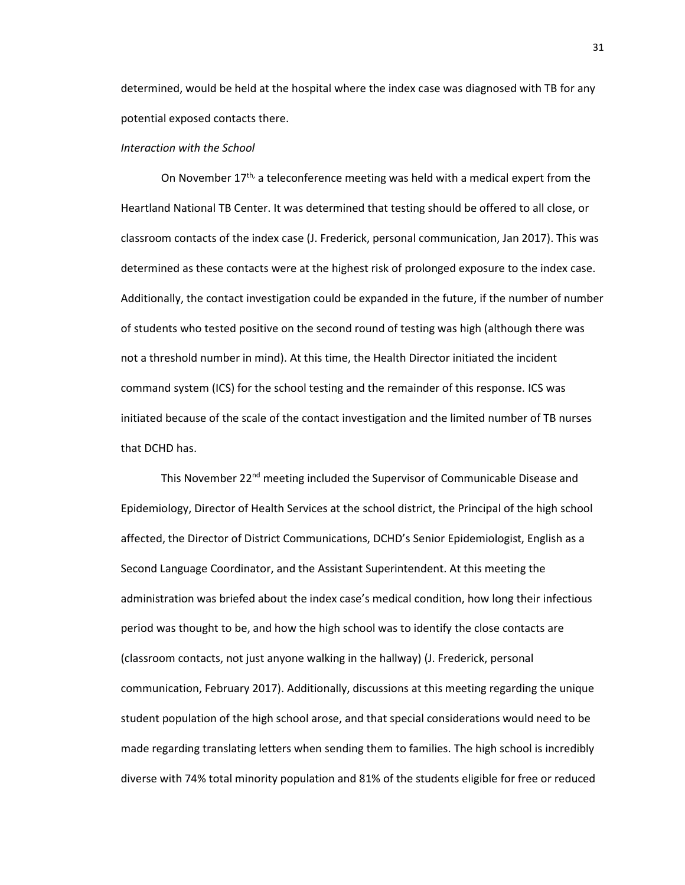determined, would be held at the hospital where the index case was diagnosed with TB for any potential exposed contacts there.

## *Interaction with the School*

On November  $17<sup>th</sup>$ , a teleconference meeting was held with a medical expert from the Heartland National TB Center. It was determined that testing should be offered to all close, or classroom contacts of the index case (J. Frederick, personal communication, Jan 2017). This was determined as these contacts were at the highest risk of prolonged exposure to the index case. Additionally, the contact investigation could be expanded in the future, if the number of number of students who tested positive on the second round of testing was high (although there was not a threshold number in mind). At this time, the Health Director initiated the incident command system (ICS) for the school testing and the remainder of this response. ICS was initiated because of the scale of the contact investigation and the limited number of TB nurses that DCHD has.

This November  $22<sup>nd</sup>$  meeting included the Supervisor of Communicable Disease and Epidemiology, Director of Health Services at the school district, the Principal of the high school affected, the Director of District Communications, DCHD's Senior Epidemiologist, English as a Second Language Coordinator, and the Assistant Superintendent. At this meeting the administration was briefed about the index case's medical condition, how long their infectious period was thought to be, and how the high school was to identify the close contacts are (classroom contacts, not just anyone walking in the hallway) (J. Frederick, personal communication, February 2017). Additionally, discussions at this meeting regarding the unique student population of the high school arose, and that special considerations would need to be made regarding translating letters when sending them to families. The high school is incredibly diverse with 74% total minority population and 81% of the students eligible for free or reduced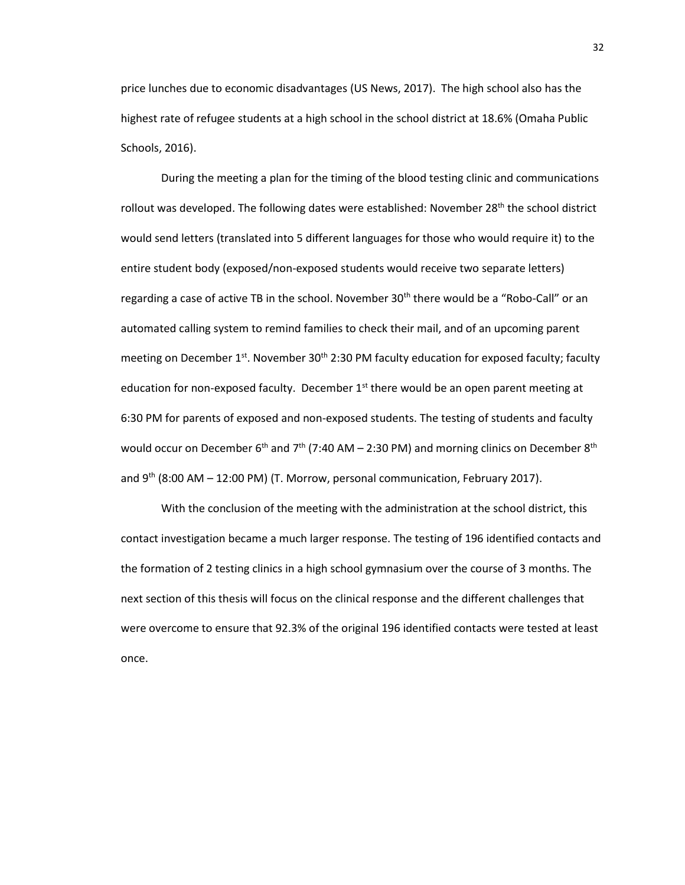price lunches due to economic disadvantages (US News, 2017). The high school also has the highest rate of refugee students at a high school in the school district at 18.6% (Omaha Public Schools, 2016).

During the meeting a plan for the timing of the blood testing clinic and communications rollout was developed. The following dates were established: November 28<sup>th</sup> the school district would send letters (translated into 5 different languages for those who would require it) to the entire student body (exposed/non-exposed students would receive two separate letters) regarding a case of active TB in the school. November 30<sup>th</sup> there would be a "Robo-Call" or an automated calling system to remind families to check their mail, and of an upcoming parent meeting on December 1<sup>st</sup>. November 30<sup>th</sup> 2:30 PM faculty education for exposed faculty; faculty education for non-exposed faculty. December  $1<sup>st</sup>$  there would be an open parent meeting at 6:30 PM for parents of exposed and non-exposed students. The testing of students and faculty would occur on December 6<sup>th</sup> and 7<sup>th</sup> (7:40 AM – 2:30 PM) and morning clinics on December 8<sup>th</sup> and  $9^{th}$  (8:00 AM – 12:00 PM) (T. Morrow, personal communication, February 2017).

With the conclusion of the meeting with the administration at the school district, this contact investigation became a much larger response. The testing of 196 identified contacts and the formation of 2 testing clinics in a high school gymnasium over the course of 3 months. The next section of this thesis will focus on the clinical response and the different challenges that were overcome to ensure that 92.3% of the original 196 identified contacts were tested at least once.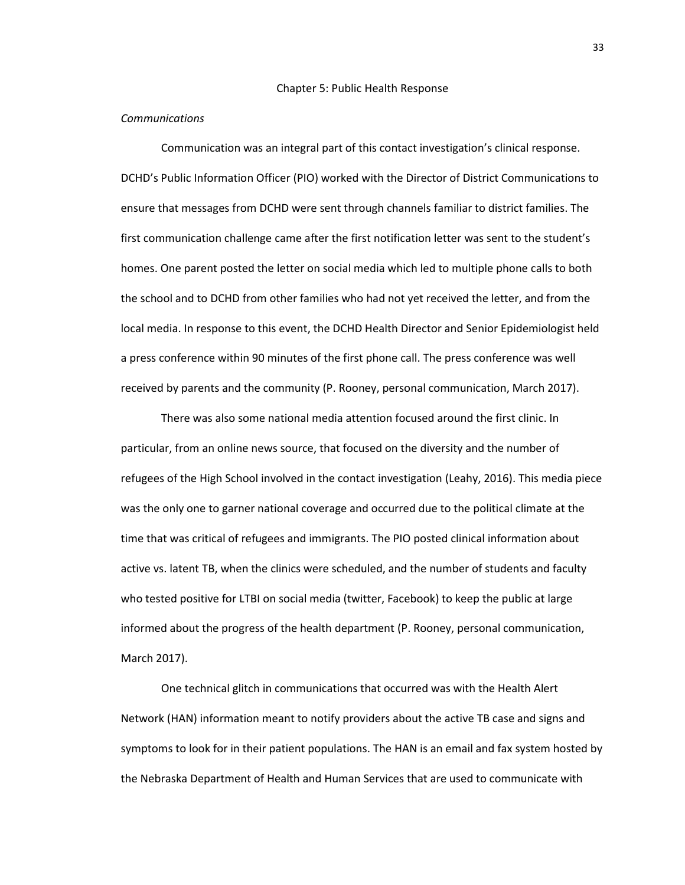#### *Communications*

Communication was an integral part of this contact investigation's clinical response. DCHD's Public Information Officer (PIO) worked with the Director of District Communications to ensure that messages from DCHD were sent through channels familiar to district families. The first communication challenge came after the first notification letter was sent to the student's homes. One parent posted the letter on social media which led to multiple phone calls to both the school and to DCHD from other families who had not yet received the letter, and from the local media. In response to this event, the DCHD Health Director and Senior Epidemiologist held a press conference within 90 minutes of the first phone call. The press conference was well received by parents and the community (P. Rooney, personal communication, March 2017).

There was also some national media attention focused around the first clinic. In particular, from an online news source, that focused on the diversity and the number of refugees of the High School involved in the contact investigation (Leahy, 2016). This media piece was the only one to garner national coverage and occurred due to the political climate at the time that was critical of refugees and immigrants. The PIO posted clinical information about active vs. latent TB, when the clinics were scheduled, and the number of students and faculty who tested positive for LTBI on social media (twitter, Facebook) to keep the public at large informed about the progress of the health department (P. Rooney, personal communication, March 2017).

One technical glitch in communications that occurred was with the Health Alert Network (HAN) information meant to notify providers about the active TB case and signs and symptoms to look for in their patient populations. The HAN is an email and fax system hosted by the Nebraska Department of Health and Human Services that are used to communicate with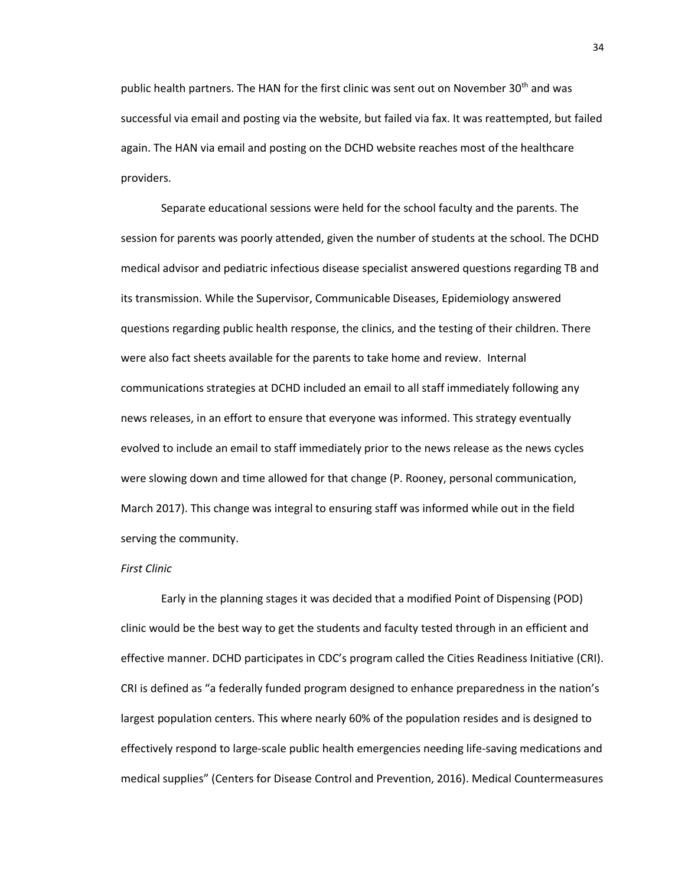public health partners. The HAN for the first clinic was sent out on November  $30<sup>th</sup>$  and was successful via email and posting via the website, but failed via fax. It was reattempted, but failed again. The HAN via email and posting on the DCHD website reaches most of the healthcare providers.

Separate educational sessions were held for the school faculty and the parents. The session for parents was poorly attended, given the number of students at the school. The DCHD medical advisor and pediatric infectious disease specialist answered questions regarding TB and its transmission. While the Supervisor, Communicable Diseases, Epidemiology answered questions regarding public health response, the clinics, and the testing of their children. There were also fact sheets available for the parents to take home and review. Internal communications strategies at DCHD included an email to all staff immediately following any news releases, in an effort to ensure that everyone was informed. This strategy eventually evolved to include an email to staff immediately prior to the news release as the news cycles were slowing down and time allowed for that change (P. Rooney, personal communication, March 2017). This change was integral to ensuring staff was informed while out in the field serving the community.

#### *First Clinic*

Early in the planning stages it was decided that a modified Point of Dispensing (POD) clinic would be the best way to get the students and faculty tested through in an efficient and effective manner. DCHD participates in CDC's program called the Cities Readiness Initiative (CRI). CRI is defined as "a federally funded program designed to enhance preparedness in the nation's largest population centers. This where nearly 60% of the population resides and is designed to effectively respond to large-scale public health emergencies needing life-saving medications and medical supplies" (Centers for Disease Control and Prevention, 2016). Medical Countermeasures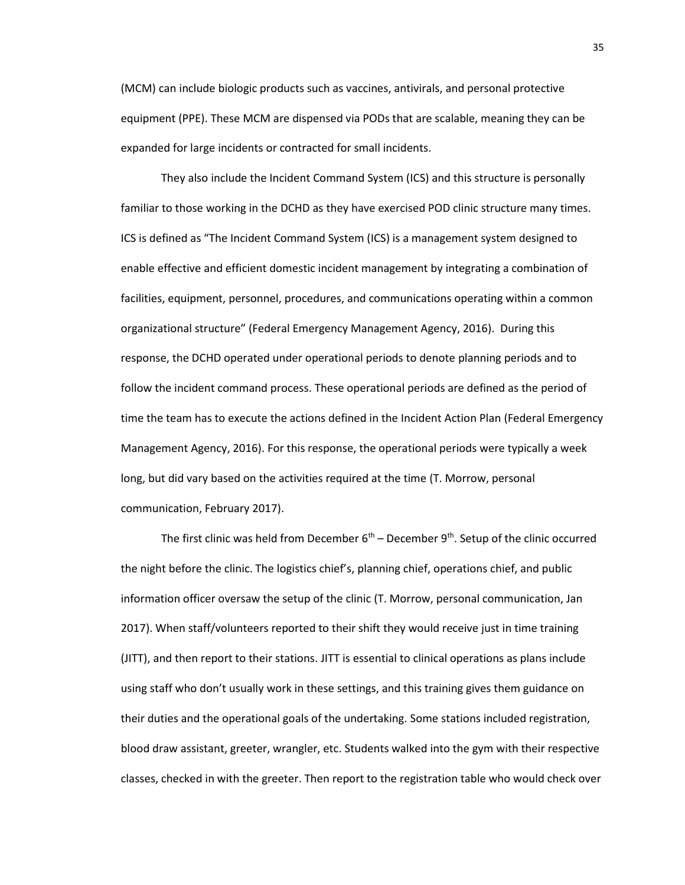(MCM) can include biologic products such as vaccines, antivirals, and personal protective equipment (PPE). These MCM are dispensed via PODs that are scalable, meaning they can be expanded for large incidents or contracted for small incidents.

They also include the Incident Command System (ICS) and this structure is personally familiar to those working in the DCHD as they have exercised POD clinic structure many times. ICS is defined as "The Incident Command System (ICS) is a management system designed to enable effective and efficient domestic incident management by integrating a combination of facilities, equipment, personnel, procedures, and communications operating within a common organizational structure" (Federal Emergency Management Agency, 2016). During this response, the DCHD operated under operational periods to denote planning periods and to follow the incident command process. These operational periods are defined as the period of time the team has to execute the actions defined in the Incident Action Plan (Federal Emergency Management Agency, 2016). For this response, the operational periods were typically a week long, but did vary based on the activities required at the time (T. Morrow, personal communication, February 2017).

The first clinic was held from December 6<sup>th</sup> – December 9<sup>th</sup>. Setup of the clinic occurred the night before the clinic. The logistics chief's, planning chief, operations chief, and public information officer oversaw the setup of the clinic (T. Morrow, personal communication, Jan 2017). When staff/volunteers reported to their shift they would receive just in time training (JITT), and then report to their stations. JITT is essential to clinical operations as plans include using staff who don't usually work in these settings, and this training gives them guidance on their duties and the operational goals of the undertaking. Some stations included registration, blood draw assistant, greeter, wrangler, etc. Students walked into the gym with their respective classes, checked in with the greeter. Then report to the registration table who would check over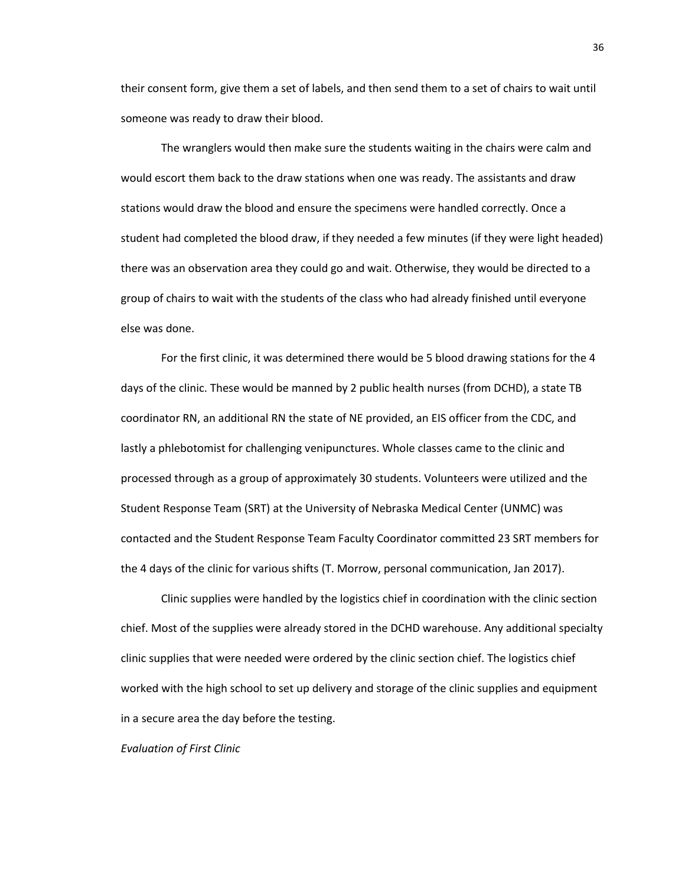their consent form, give them a set of labels, and then send them to a set of chairs to wait until someone was ready to draw their blood.

The wranglers would then make sure the students waiting in the chairs were calm and would escort them back to the draw stations when one was ready. The assistants and draw stations would draw the blood and ensure the specimens were handled correctly. Once a student had completed the blood draw, if they needed a few minutes (if they were light headed) there was an observation area they could go and wait. Otherwise, they would be directed to a group of chairs to wait with the students of the class who had already finished until everyone else was done.

For the first clinic, it was determined there would be 5 blood drawing stations for the 4 days of the clinic. These would be manned by 2 public health nurses (from DCHD), a state TB coordinator RN, an additional RN the state of NE provided, an EIS officer from the CDC, and lastly a phlebotomist for challenging venipunctures. Whole classes came to the clinic and processed through as a group of approximately 30 students. Volunteers were utilized and the Student Response Team (SRT) at the University of Nebraska Medical Center (UNMC) was contacted and the Student Response Team Faculty Coordinator committed 23 SRT members for the 4 days of the clinic for various shifts (T. Morrow, personal communication, Jan 2017).

Clinic supplies were handled by the logistics chief in coordination with the clinic section chief. Most of the supplies were already stored in the DCHD warehouse. Any additional specialty clinic supplies that were needed were ordered by the clinic section chief. The logistics chief worked with the high school to set up delivery and storage of the clinic supplies and equipment in a secure area the day before the testing.

*Evaluation of First Clinic*

36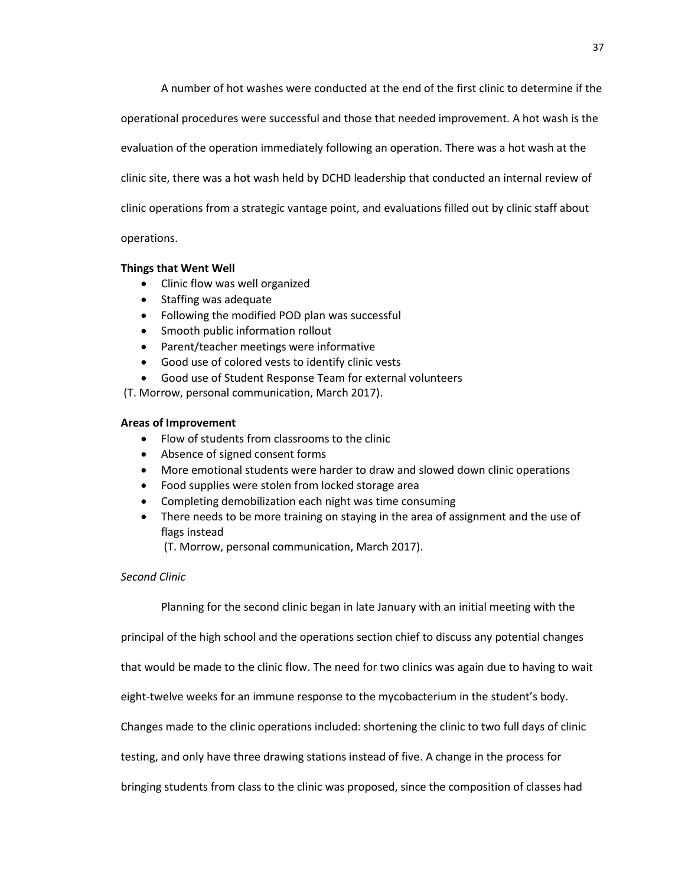A number of hot washes were conducted at the end of the first clinic to determine if the

operational procedures were successful and those that needed improvement. A hot wash is the

evaluation of the operation immediately following an operation. There was a hot wash at the

clinic site, there was a hot wash held by DCHD leadership that conducted an internal review of

clinic operations from a strategic vantage point, and evaluations filled out by clinic staff about

operations.

## **Things that Went Well**

- Clinic flow was well organized
- Staffing was adequate
- Following the modified POD plan was successful
- Smooth public information rollout
- Parent/teacher meetings were informative
- Good use of colored vests to identify clinic vests
- Good use of Student Response Team for external volunteers

(T. Morrow, personal communication, March 2017).

## **Areas of Improvement**

- Flow of students from classrooms to the clinic
- Absence of signed consent forms
- More emotional students were harder to draw and slowed down clinic operations
- Food supplies were stolen from locked storage area
- Completing demobilization each night was time consuming
- There needs to be more training on staying in the area of assignment and the use of flags instead

(T. Morrow, personal communication, March 2017).

## *Second Clinic*

Planning for the second clinic began in late January with an initial meeting with the

principal of the high school and the operations section chief to discuss any potential changes

that would be made to the clinic flow. The need for two clinics was again due to having to wait

eight-twelve weeks for an immune response to the mycobacterium in the student's body.

Changes made to the clinic operations included: shortening the clinic to two full days of clinic

testing, and only have three drawing stations instead of five. A change in the process for

bringing students from class to the clinic was proposed, since the composition of classes had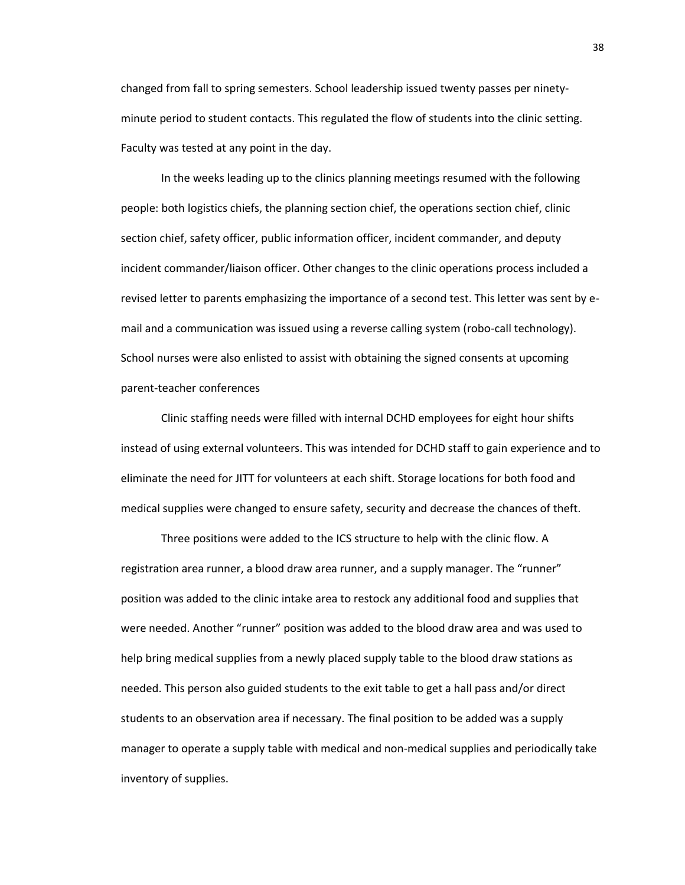changed from fall to spring semesters. School leadership issued twenty passes per ninetyminute period to student contacts. This regulated the flow of students into the clinic setting. Faculty was tested at any point in the day.

In the weeks leading up to the clinics planning meetings resumed with the following people: both logistics chiefs, the planning section chief, the operations section chief, clinic section chief, safety officer, public information officer, incident commander, and deputy incident commander/liaison officer. Other changes to the clinic operations process included a revised letter to parents emphasizing the importance of a second test. This letter was sent by email and a communication was issued using a reverse calling system (robo-call technology). School nurses were also enlisted to assist with obtaining the signed consents at upcoming parent-teacher conferences

Clinic staffing needs were filled with internal DCHD employees for eight hour shifts instead of using external volunteers. This was intended for DCHD staff to gain experience and to eliminate the need for JITT for volunteers at each shift. Storage locations for both food and medical supplies were changed to ensure safety, security and decrease the chances of theft.

Three positions were added to the ICS structure to help with the clinic flow. A registration area runner, a blood draw area runner, and a supply manager. The "runner" position was added to the clinic intake area to restock any additional food and supplies that were needed. Another "runner" position was added to the blood draw area and was used to help bring medical supplies from a newly placed supply table to the blood draw stations as needed. This person also guided students to the exit table to get a hall pass and/or direct students to an observation area if necessary. The final position to be added was a supply manager to operate a supply table with medical and non-medical supplies and periodically take inventory of supplies.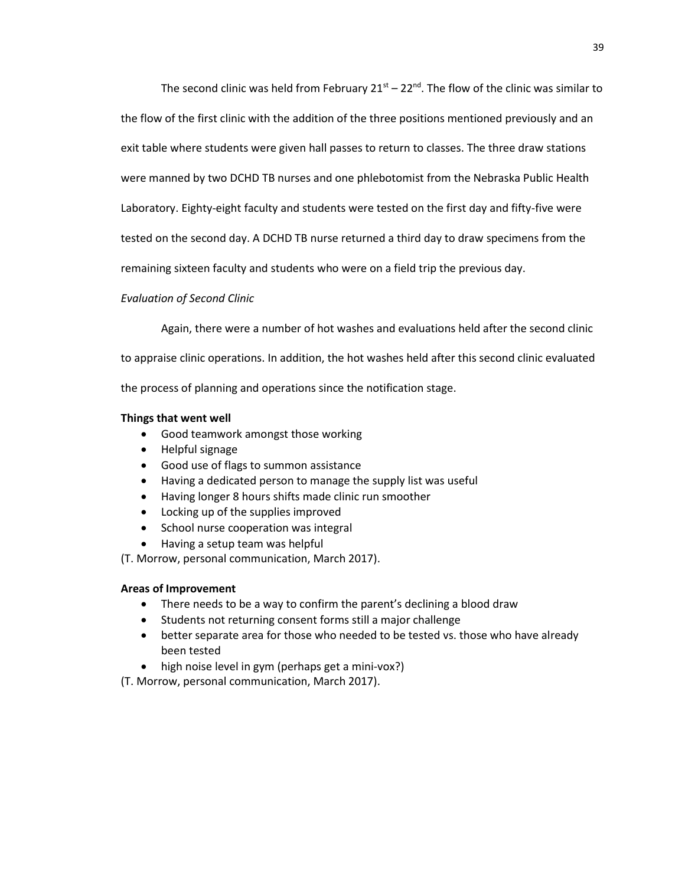The second clinic was held from February  $21^{st} - 22^{nd}$ . The flow of the clinic was similar to

the flow of the first clinic with the addition of the three positions mentioned previously and an

exit table where students were given hall passes to return to classes. The three draw stations

were manned by two DCHD TB nurses and one phlebotomist from the Nebraska Public Health

Laboratory. Eighty-eight faculty and students were tested on the first day and fifty-five were

tested on the second day. A DCHD TB nurse returned a third day to draw specimens from the

remaining sixteen faculty and students who were on a field trip the previous day.

## *Evaluation of Second Clinic*

Again, there were a number of hot washes and evaluations held after the second clinic

to appraise clinic operations. In addition, the hot washes held after this second clinic evaluated

the process of planning and operations since the notification stage.

## **Things that went well**

- Good teamwork amongst those working
- Helpful signage
- Good use of flags to summon assistance
- Having a dedicated person to manage the supply list was useful
- Having longer 8 hours shifts made clinic run smoother
- Locking up of the supplies improved
- School nurse cooperation was integral
- Having a setup team was helpful

(T. Morrow, personal communication, March 2017).

## **Areas of Improvement**

- There needs to be a way to confirm the parent's declining a blood draw
- Students not returning consent forms still a major challenge
- better separate area for those who needed to be tested vs. those who have already been tested
- high noise level in gym (perhaps get a mini-vox?)

(T. Morrow, personal communication, March 2017).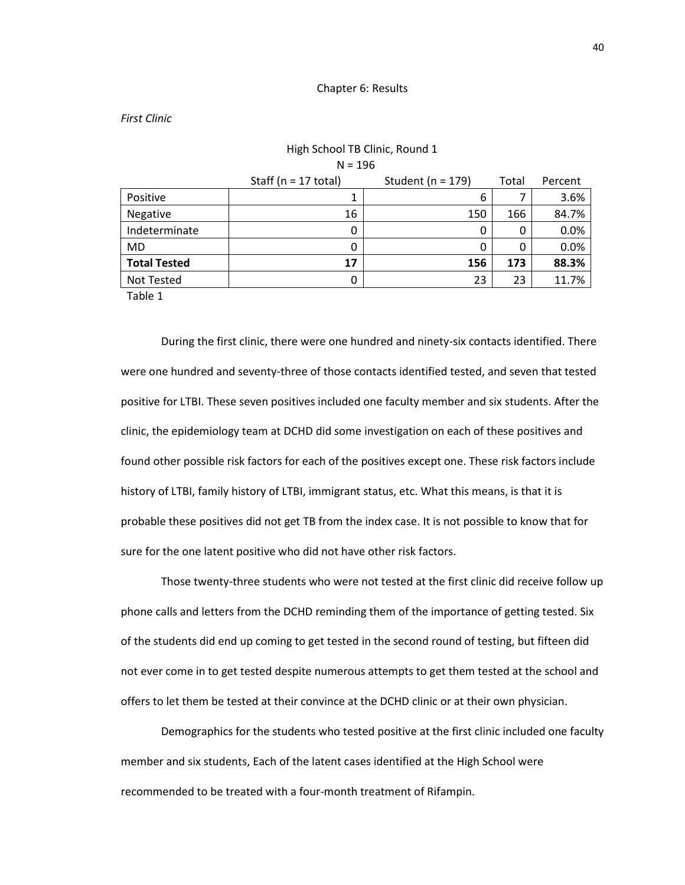#### Chapter 6: Results

High School TB Clinic, Round 1

#### *First Clinic*

| HIGH SCHOOL IB CHING, ROUND 1 |                         |                       |       |         |
|-------------------------------|-------------------------|-----------------------|-------|---------|
| $N = 196$                     |                         |                       |       |         |
|                               | Staff ( $n = 17$ total) | Student ( $n = 179$ ) | Total | Percent |
| Positive                      |                         | 6                     |       | 3.6%    |
| Negative                      | 16                      | 150                   | 166   | 84.7%   |
| Indeterminate                 | 0                       | 0                     | 0     | 0.0%    |
| MD                            | 0                       | 0                     | 0     | 0.0%    |
| <b>Total Tested</b>           | 17                      | 156                   | 173   | 88.3%   |
| Not Tested                    | 0                       | 23                    | 23    | 11.7%   |
|                               |                         |                       |       |         |

Table 1

During the first clinic, there were one hundred and ninety-six contacts identified. There were one hundred and seventy-three of those contacts identified tested, and seven that tested positive for LTBI. These seven positives included one faculty member and six students. After the clinic, the epidemiology team at DCHD did some investigation on each of these positives and found other possible risk factors for each of the positives except one. These risk factors include history of LTBI, family history of LTBI, immigrant status, etc. What this means, is that it is probable these positives did not get TB from the index case. It is not possible to know that for sure for the one latent positive who did not have other risk factors.

Those twenty-three students who were not tested at the first clinic did receive follow up phone calls and letters from the DCHD reminding them of the importance of getting tested. Six of the students did end up coming to get tested in the second round of testing, but fifteen did not ever come in to get tested despite numerous attempts to get them tested at the school and offers to let them be tested at their convince at the DCHD clinic or at their own physician.

Demographics for the students who tested positive at the first clinic included one faculty member and six students, Each of the latent cases identified at the High School were recommended to be treated with a four-month treatment of Rifampin.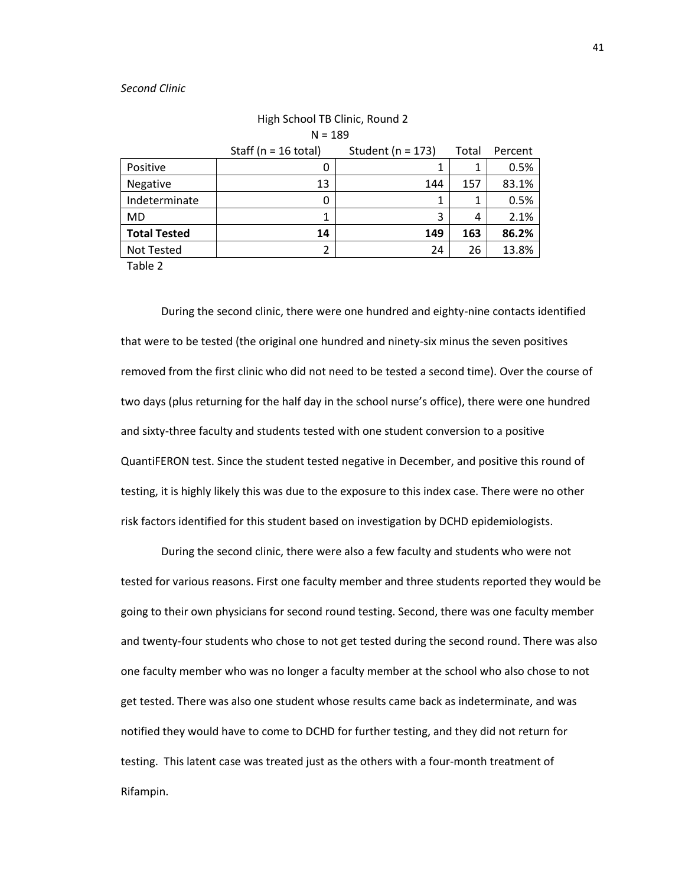#### *Second Clinic*

|                     | Staff ( $n = 16$ total) | Student ( $n = 173$ ) | Total | Percent |
|---------------------|-------------------------|-----------------------|-------|---------|
| Positive            | 0                       |                       | 1     | 0.5%    |
| Negative            | 13                      | 144                   | 157   | 83.1%   |
| Indeterminate       | 0                       |                       |       | 0.5%    |
| <b>MD</b>           |                         | 3                     | 4     | 2.1%    |
| <b>Total Tested</b> | 14                      | 149                   | 163   | 86.2%   |
| <b>Not Tested</b>   |                         | 24                    | 26    | 13.8%   |

## High School TB Clinic, Round 2  $N = 189$

Table 2

During the second clinic, there were one hundred and eighty-nine contacts identified that were to be tested (the original one hundred and ninety-six minus the seven positives removed from the first clinic who did not need to be tested a second time). Over the course of two days (plus returning for the half day in the school nurse's office), there were one hundred and sixty-three faculty and students tested with one student conversion to a positive QuantiFERON test. Since the student tested negative in December, and positive this round of testing, it is highly likely this was due to the exposure to this index case. There were no other risk factors identified for this student based on investigation by DCHD epidemiologists.

During the second clinic, there were also a few faculty and students who were not tested for various reasons. First one faculty member and three students reported they would be going to their own physicians for second round testing. Second, there was one faculty member and twenty-four students who chose to not get tested during the second round. There was also one faculty member who was no longer a faculty member at the school who also chose to not get tested. There was also one student whose results came back as indeterminate, and was notified they would have to come to DCHD for further testing, and they did not return for testing. This latent case was treated just as the others with a four-month treatment of Rifampin.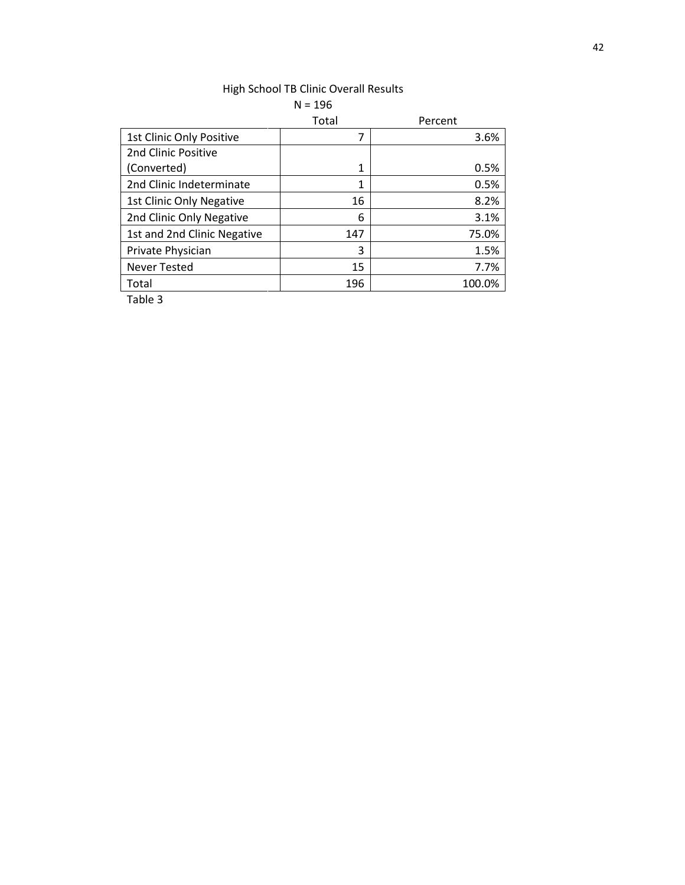|                             | $N = 196$ |         |
|-----------------------------|-----------|---------|
|                             | Total     | Percent |
| 1st Clinic Only Positive    | 7         | 3.6%    |
| 2nd Clinic Positive         |           |         |
| (Converted)                 | 1         | 0.5%    |
| 2nd Clinic Indeterminate    | 1         | 0.5%    |
| 1st Clinic Only Negative    | 16        | 8.2%    |
| 2nd Clinic Only Negative    | 6         | 3.1%    |
| 1st and 2nd Clinic Negative | 147       | 75.0%   |
| Private Physician           | 3         | 1.5%    |
| <b>Never Tested</b>         | 15        | 7.7%    |
| Total                       | 196       | 100.0%  |

# High School TB Clinic Overall Results

Table 3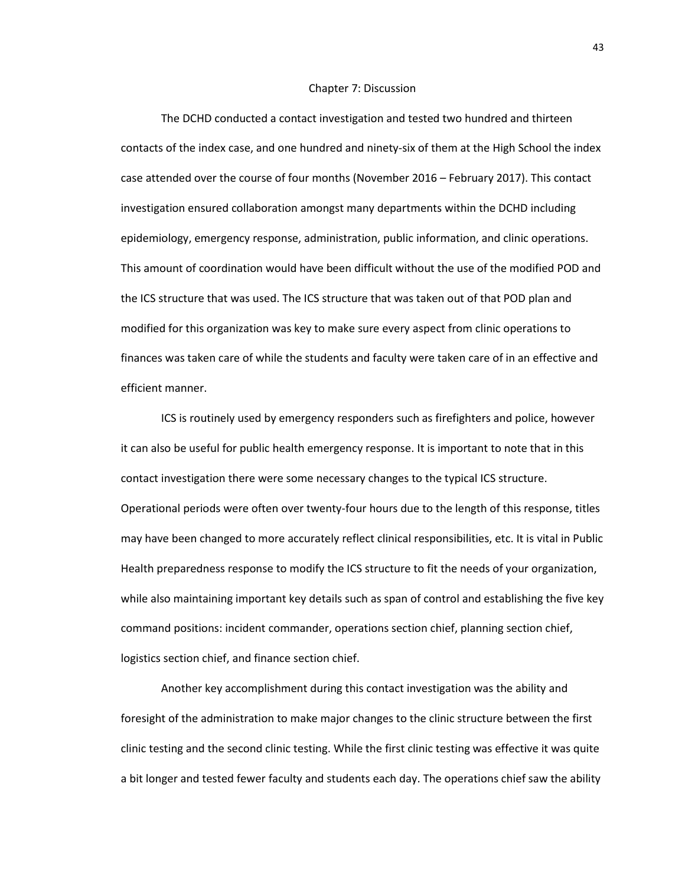#### Chapter 7: Discussion

The DCHD conducted a contact investigation and tested two hundred and thirteen contacts of the index case, and one hundred and ninety-six of them at the High School the index case attended over the course of four months (November 2016 – February 2017). This contact investigation ensured collaboration amongst many departments within the DCHD including epidemiology, emergency response, administration, public information, and clinic operations. This amount of coordination would have been difficult without the use of the modified POD and the ICS structure that was used. The ICS structure that was taken out of that POD plan and modified for this organization was key to make sure every aspect from clinic operations to finances was taken care of while the students and faculty were taken care of in an effective and efficient manner.

ICS is routinely used by emergency responders such as firefighters and police, however it can also be useful for public health emergency response. It is important to note that in this contact investigation there were some necessary changes to the typical ICS structure. Operational periods were often over twenty-four hours due to the length of this response, titles may have been changed to more accurately reflect clinical responsibilities, etc. It is vital in Public Health preparedness response to modify the ICS structure to fit the needs of your organization, while also maintaining important key details such as span of control and establishing the five key command positions: incident commander, operations section chief, planning section chief, logistics section chief, and finance section chief.

Another key accomplishment during this contact investigation was the ability and foresight of the administration to make major changes to the clinic structure between the first clinic testing and the second clinic testing. While the first clinic testing was effective it was quite a bit longer and tested fewer faculty and students each day. The operations chief saw the ability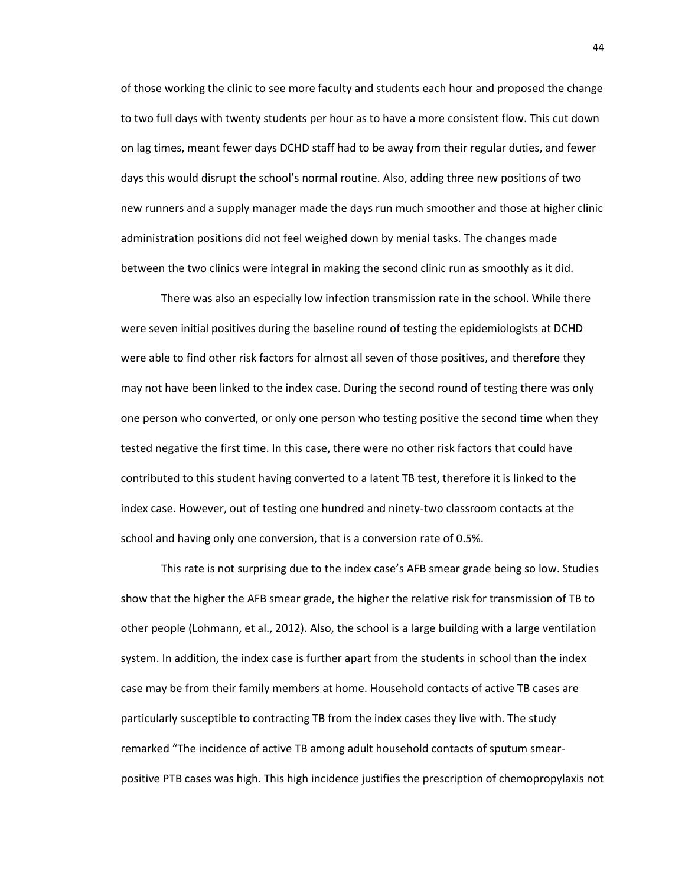of those working the clinic to see more faculty and students each hour and proposed the change to two full days with twenty students per hour as to have a more consistent flow. This cut down on lag times, meant fewer days DCHD staff had to be away from their regular duties, and fewer days this would disrupt the school's normal routine. Also, adding three new positions of two new runners and a supply manager made the days run much smoother and those at higher clinic administration positions did not feel weighed down by menial tasks. The changes made between the two clinics were integral in making the second clinic run as smoothly as it did.

There was also an especially low infection transmission rate in the school. While there were seven initial positives during the baseline round of testing the epidemiologists at DCHD were able to find other risk factors for almost all seven of those positives, and therefore they may not have been linked to the index case. During the second round of testing there was only one person who converted, or only one person who testing positive the second time when they tested negative the first time. In this case, there were no other risk factors that could have contributed to this student having converted to a latent TB test, therefore it is linked to the index case. However, out of testing one hundred and ninety-two classroom contacts at the school and having only one conversion, that is a conversion rate of 0.5%.

This rate is not surprising due to the index case's AFB smear grade being so low. Studies show that the higher the AFB smear grade, the higher the relative risk for transmission of TB to other people (Lohmann, et al., 2012). Also, the school is a large building with a large ventilation system. In addition, the index case is further apart from the students in school than the index case may be from their family members at home. Household contacts of active TB cases are particularly susceptible to contracting TB from the index cases they live with. The study remarked "The incidence of active TB among adult household contacts of sputum smearpositive PTB cases was high. This high incidence justifies the prescription of chemopropylaxis not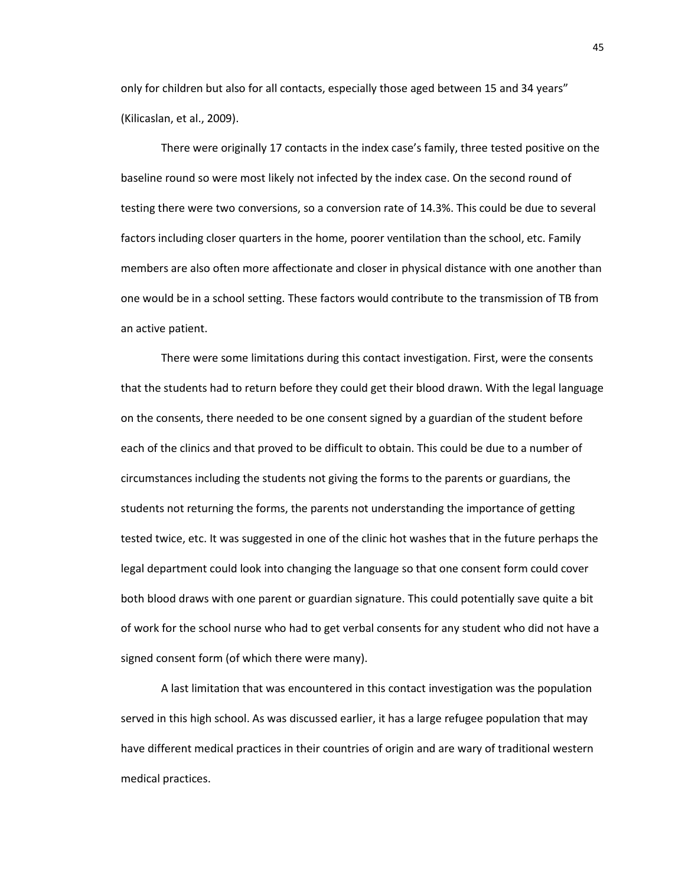only for children but also for all contacts, especially those aged between 15 and 34 years" (Kilicaslan, et al., 2009).

There were originally 17 contacts in the index case's family, three tested positive on the baseline round so were most likely not infected by the index case. On the second round of testing there were two conversions, so a conversion rate of 14.3%. This could be due to several factors including closer quarters in the home, poorer ventilation than the school, etc. Family members are also often more affectionate and closer in physical distance with one another than one would be in a school setting. These factors would contribute to the transmission of TB from an active patient.

There were some limitations during this contact investigation. First, were the consents that the students had to return before they could get their blood drawn. With the legal language on the consents, there needed to be one consent signed by a guardian of the student before each of the clinics and that proved to be difficult to obtain. This could be due to a number of circumstances including the students not giving the forms to the parents or guardians, the students not returning the forms, the parents not understanding the importance of getting tested twice, etc. It was suggested in one of the clinic hot washes that in the future perhaps the legal department could look into changing the language so that one consent form could cover both blood draws with one parent or guardian signature. This could potentially save quite a bit of work for the school nurse who had to get verbal consents for any student who did not have a signed consent form (of which there were many).

A last limitation that was encountered in this contact investigation was the population served in this high school. As was discussed earlier, it has a large refugee population that may have different medical practices in their countries of origin and are wary of traditional western medical practices.

45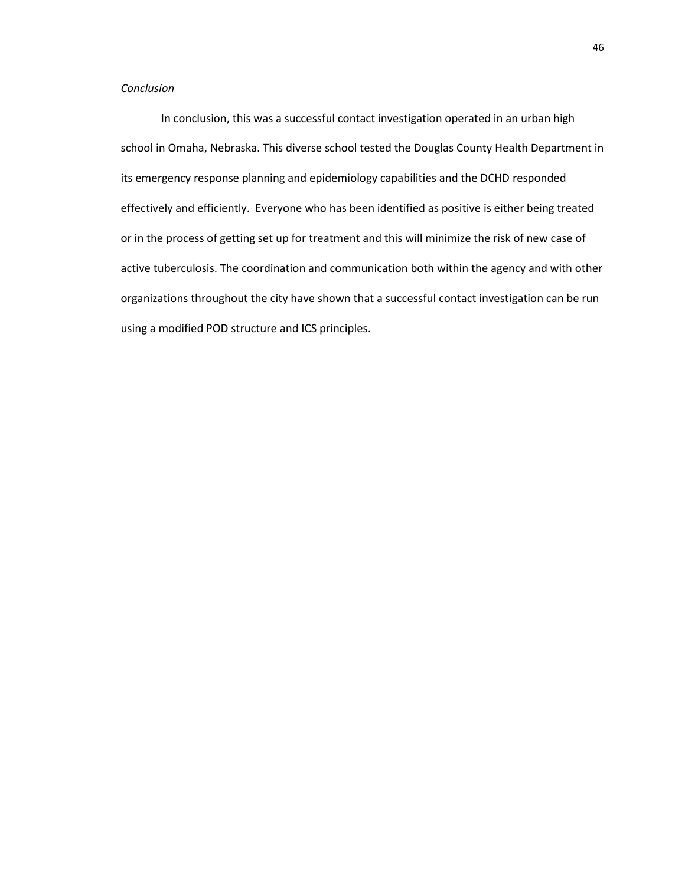## *Conclusion*

In conclusion, this was a successful contact investigation operated in an urban high school in Omaha, Nebraska. This diverse school tested the Douglas County Health Department in its emergency response planning and epidemiology capabilities and the DCHD responded effectively and efficiently. Everyone who has been identified as positive is either being treated or in the process of getting set up for treatment and this will minimize the risk of new case of active tuberculosis. The coordination and communication both within the agency and with other organizations throughout the city have shown that a successful contact investigation can be run using a modified POD structure and ICS principles.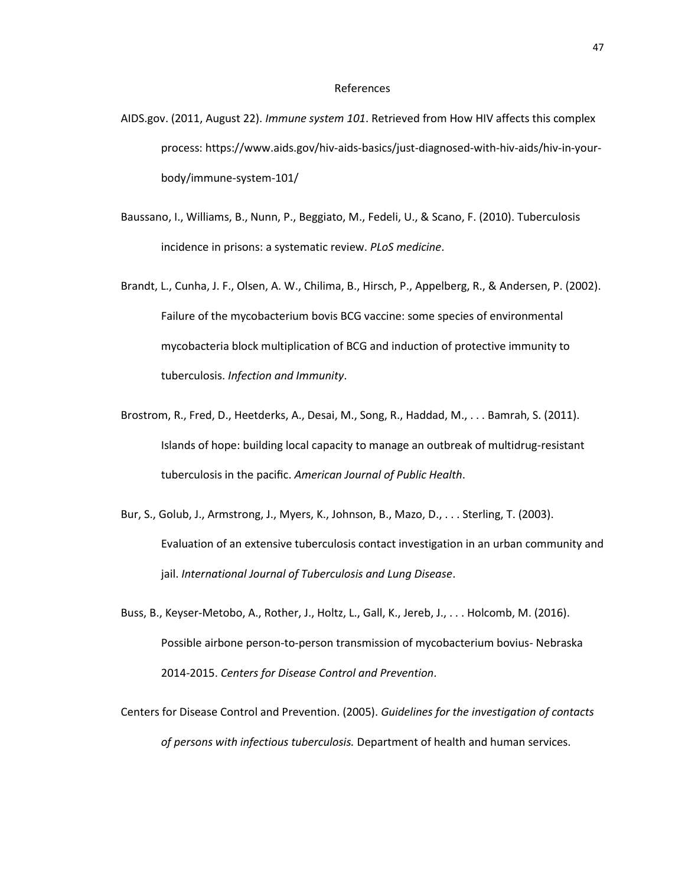#### References

- AIDS.gov. (2011, August 22). *Immune system 101*. Retrieved from How HIV affects this complex process: https://www.aids.gov/hiv-aids-basics/just-diagnosed-with-hiv-aids/hiv-in-yourbody/immune-system-101/
- Baussano, I., Williams, B., Nunn, P., Beggiato, M., Fedeli, U., & Scano, F. (2010). Tuberculosis incidence in prisons: a systematic review. *PLoS medicine*.
- Brandt, L., Cunha, J. F., Olsen, A. W., Chilima, B., Hirsch, P., Appelberg, R., & Andersen, P. (2002). Failure of the mycobacterium bovis BCG vaccine: some species of environmental mycobacteria block multiplication of BCG and induction of protective immunity to tuberculosis. *Infection and Immunity*.
- Brostrom, R., Fred, D., Heetderks, A., Desai, M., Song, R., Haddad, M., . . . Bamrah, S. (2011). Islands of hope: building local capacity to manage an outbreak of multidrug-resistant tuberculosis in the pacific. *American Journal of Public Health*.
- Bur, S., Golub, J., Armstrong, J., Myers, K., Johnson, B., Mazo, D., . . . Sterling, T. (2003). Evaluation of an extensive tuberculosis contact investigation in an urban community and jail. *International Journal of Tuberculosis and Lung Disease*.
- Buss, B., Keyser-Metobo, A., Rother, J., Holtz, L., Gall, K., Jereb, J., . . . Holcomb, M. (2016). Possible airbone person-to-person transmission of mycobacterium bovius- Nebraska 2014-2015. *Centers for Disease Control and Prevention*.
- Centers for Disease Control and Prevention. (2005). *Guidelines for the investigation of contacts of persons with infectious tuberculosis.* Department of health and human services.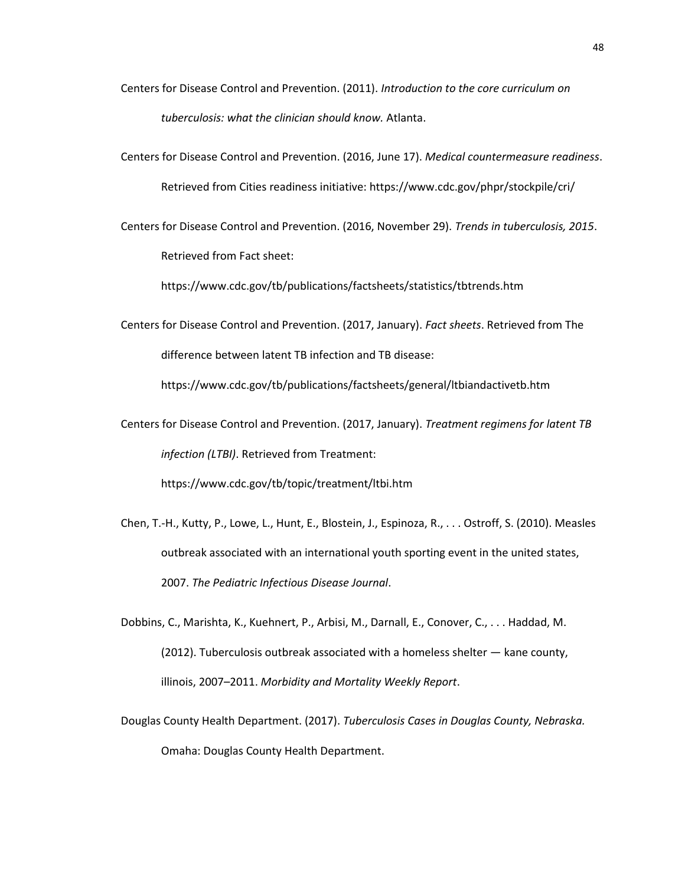- Centers for Disease Control and Prevention. (2011). *Introduction to the core curriculum on tuberculosis: what the clinician should know.* Atlanta.
- Centers for Disease Control and Prevention. (2016, June 17). *Medical countermeasure readiness*. Retrieved from Cities readiness initiative: https://www.cdc.gov/phpr/stockpile/cri/
- Centers for Disease Control and Prevention. (2016, November 29). *Trends in tuberculosis, 2015*. Retrieved from Fact sheet:

https://www.cdc.gov/tb/publications/factsheets/statistics/tbtrends.htm

Centers for Disease Control and Prevention. (2017, January). *Fact sheets*. Retrieved from The difference between latent TB infection and TB disease:

https://www.cdc.gov/tb/publications/factsheets/general/ltbiandactivetb.htm

Centers for Disease Control and Prevention. (2017, January). *Treatment regimens for latent TB infection (LTBI)*. Retrieved from Treatment:

https://www.cdc.gov/tb/topic/treatment/ltbi.htm

- Chen, T.-H., Kutty, P., Lowe, L., Hunt, E., Blostein, J., Espinoza, R., . . . Ostroff, S. (2010). Measles outbreak associated with an international youth sporting event in the united states, 2007. *The Pediatric Infectious Disease Journal*.
- Dobbins, C., Marishta, K., Kuehnert, P., Arbisi, M., Darnall, E., Conover, C., . . . Haddad, M. (2012). Tuberculosis outbreak associated with a homeless shelter — kane county, illinois, 2007–2011. *Morbidity and Mortality Weekly Report*.
- Douglas County Health Department. (2017). *Tuberculosis Cases in Douglas County, Nebraska.* Omaha: Douglas County Health Department.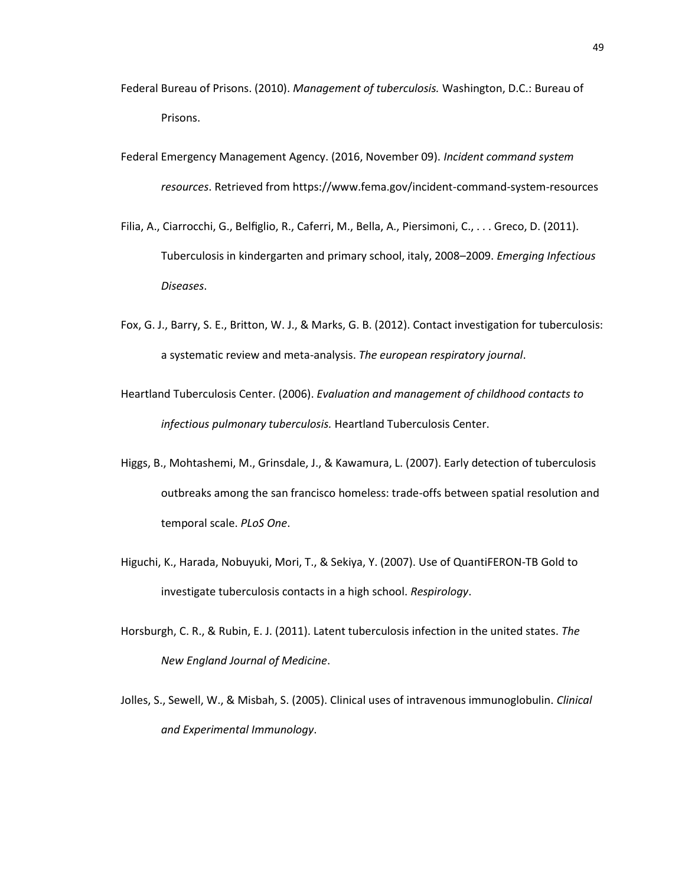- Federal Bureau of Prisons. (2010). *Management of tuberculosis.* Washington, D.C.: Bureau of Prisons.
- Federal Emergency Management Agency. (2016, November 09). *Incident command system resources*. Retrieved from https://www.fema.gov/incident-command-system-resources
- Filia, A., Ciarrocchi, G., Belfiglio, R., Caferri, M., Bella, A., Piersimoni, C., . . . Greco, D. (2011). Tuberculosis in kindergarten and primary school, italy, 2008–2009. *Emerging Infectious Diseases*.
- Fox, G. J., Barry, S. E., Britton, W. J., & Marks, G. B. (2012). Contact investigation for tuberculosis: a systematic review and meta-analysis. *The european respiratory journal*.
- Heartland Tuberculosis Center. (2006). *Evaluation and management of childhood contacts to infectious pulmonary tuberculosis.* Heartland Tuberculosis Center.
- Higgs, B., Mohtashemi, M., Grinsdale, J., & Kawamura, L. (2007). Early detection of tuberculosis outbreaks among the san francisco homeless: trade-offs between spatial resolution and temporal scale. *PLoS One*.
- Higuchi, K., Harada, Nobuyuki, Mori, T., & Sekiya, Y. (2007). Use of QuantiFERON-TB Gold to investigate tuberculosis contacts in a high school. *Respirology*.
- Horsburgh, C. R., & Rubin, E. J. (2011). Latent tuberculosis infection in the united states. *The New England Journal of Medicine*.
- Jolles, S., Sewell, W., & Misbah, S. (2005). Clinical uses of intravenous immunoglobulin. *Clinical and Experimental Immunology*.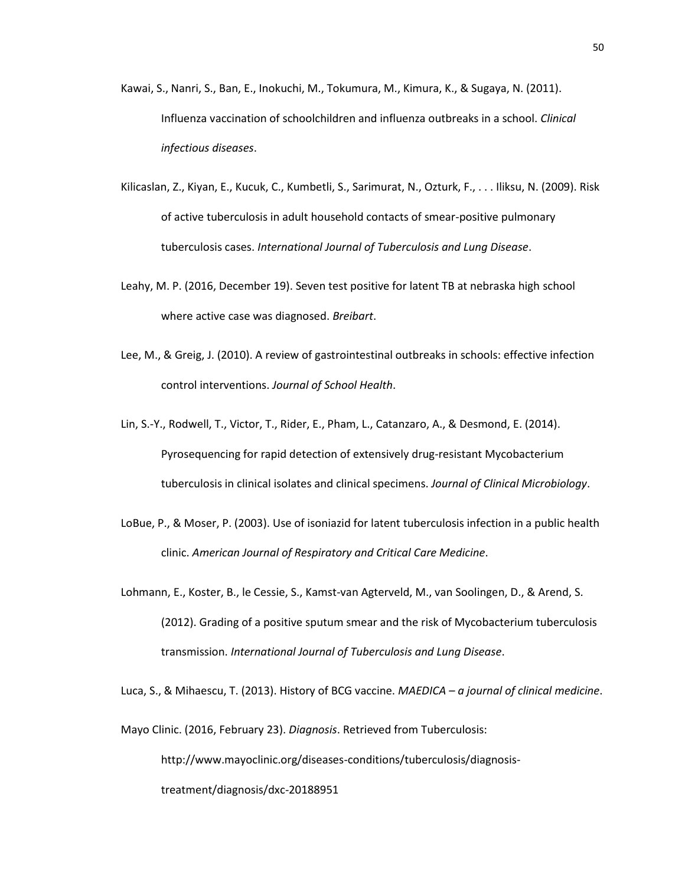- Kawai, S., Nanri, S., Ban, E., Inokuchi, M., Tokumura, M., Kimura, K., & Sugaya, N. (2011). Influenza vaccination of schoolchildren and influenza outbreaks in a school. *Clinical infectious diseases*.
- Kilicaslan, Z., Kiyan, E., Kucuk, C., Kumbetli, S., Sarimurat, N., Ozturk, F., . . . Iliksu, N. (2009). Risk of active tuberculosis in adult household contacts of smear-positive pulmonary tuberculosis cases. *International Journal of Tuberculosis and Lung Disease*.
- Leahy, M. P. (2016, December 19). Seven test positive for latent TB at nebraska high school where active case was diagnosed. *Breibart*.
- Lee, M., & Greig, J. (2010). A review of gastrointestinal outbreaks in schools: effective infection control interventions. *Journal of School Health*.
- Lin, S.-Y., Rodwell, T., Victor, T., Rider, E., Pham, L., Catanzaro, A., & Desmond, E. (2014). Pyrosequencing for rapid detection of extensively drug-resistant Mycobacterium tuberculosis in clinical isolates and clinical specimens. *Journal of Clinical Microbiology*.
- LoBue, P., & Moser, P. (2003). Use of isoniazid for latent tuberculosis infection in a public health clinic. *American Journal of Respiratory and Critical Care Medicine*.
- Lohmann, E., Koster, B., le Cessie, S., Kamst-van Agterveld, M., van Soolingen, D., & Arend, S. (2012). Grading of a positive sputum smear and the risk of Mycobacterium tuberculosis transmission. *International Journal of Tuberculosis and Lung Disease*.

Luca, S., & Mihaescu, T. (2013). History of BCG vaccine. *MAEDICA – a journal of clinical medicine*.

Mayo Clinic. (2016, February 23). *Diagnosis*. Retrieved from Tuberculosis:

http://www.mayoclinic.org/diseases-conditions/tuberculosis/diagnosistreatment/diagnosis/dxc-20188951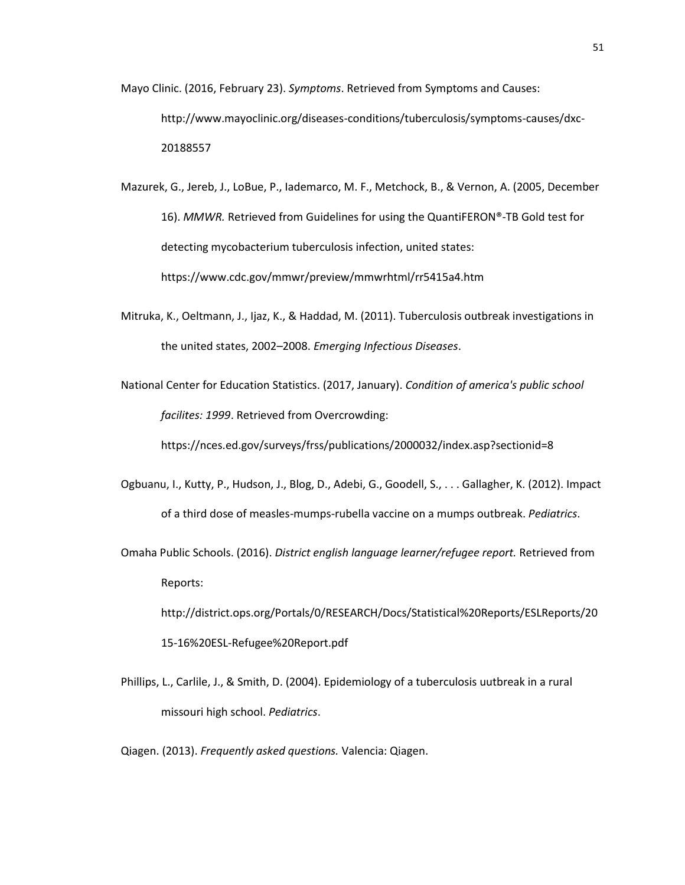- Mayo Clinic. (2016, February 23). *Symptoms*. Retrieved from Symptoms and Causes: http://www.mayoclinic.org/diseases-conditions/tuberculosis/symptoms-causes/dxc-20188557
- Mazurek, G., Jereb, J., LoBue, P., Iademarco, M. F., Metchock, B., & Vernon, A. (2005, December 16). *MMWR.* Retrieved from Guidelines for using the QuantiFERON®-TB Gold test for detecting mycobacterium tuberculosis infection, united states: https://www.cdc.gov/mmwr/preview/mmwrhtml/rr5415a4.htm
- Mitruka, K., Oeltmann, J., Ijaz, K., & Haddad, M. (2011). Tuberculosis outbreak investigations in the united states, 2002–2008. *Emerging Infectious Diseases*.
- National Center for Education Statistics. (2017, January). *Condition of america's public school facilites: 1999*. Retrieved from Overcrowding:

https://nces.ed.gov/surveys/frss/publications/2000032/index.asp?sectionid=8

- Ogbuanu, I., Kutty, P., Hudson, J., Blog, D., Adebi, G., Goodell, S., . . . Gallagher, K. (2012). Impact of a third dose of measles-mumps-rubella vaccine on a mumps outbreak. *Pediatrics*.
- Omaha Public Schools. (2016). *District english language learner/refugee report.* Retrieved from Reports: http://district.ops.org/Portals/0/RESEARCH/Docs/Statistical%20Reports/ESLReports/20 15-16%20ESL-Refugee%20Report.pdf
- Phillips, L., Carlile, J., & Smith, D. (2004). Epidemiology of a tuberculosis uutbreak in a rural missouri high school. *Pediatrics*.
- Qiagen. (2013). *Frequently asked questions.* Valencia: Qiagen.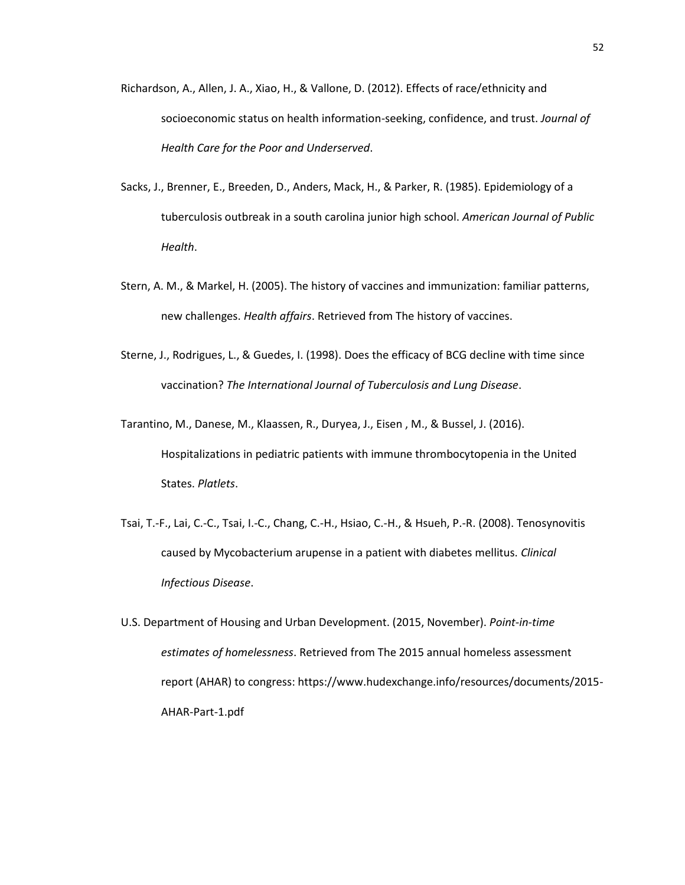- Richardson, A., Allen, J. A., Xiao, H., & Vallone, D. (2012). Effects of race/ethnicity and socioeconomic status on health information-seeking, confidence, and trust. *Journal of Health Care for the Poor and Underserved*.
- Sacks, J., Brenner, E., Breeden, D., Anders, Mack, H., & Parker, R. (1985). Epidemiology of a tuberculosis outbreak in a south carolina junior high school. *American Journal of Public Health*.
- Stern, A. M., & Markel, H. (2005). The history of vaccines and immunization: familiar patterns, new challenges. *Health affairs*. Retrieved from The history of vaccines.
- Sterne, J., Rodrigues, L., & Guedes, I. (1998). Does the efficacy of BCG decline with time since vaccination? *The International Journal of Tuberculosis and Lung Disease*.
- Tarantino, M., Danese, M., Klaassen, R., Duryea, J., Eisen , M., & Bussel, J. (2016). Hospitalizations in pediatric patients with immune thrombocytopenia in the United States. *Platlets*.
- Tsai, T.-F., Lai, C.-C., Tsai, I.-C., Chang, C.-H., Hsiao, C.-H., & Hsueh, P.-R. (2008). Tenosynovitis caused by Mycobacterium arupense in a patient with diabetes mellitus. *Clinical Infectious Disease*.
- U.S. Department of Housing and Urban Development. (2015, November). *Point-in-time estimates of homelessness*. Retrieved from The 2015 annual homeless assessment report (AHAR) to congress: https://www.hudexchange.info/resources/documents/2015- AHAR-Part-1.pdf